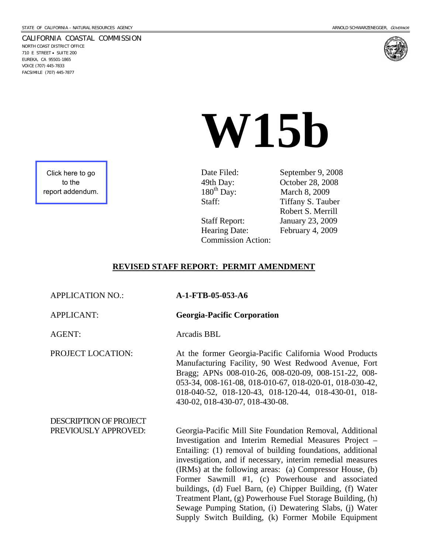#### CALIFORNIA COASTAL COMMISSION

NORTH COAST DISTRICT OFFICE 710 E STREET • SUITE 200 EUREKA, CA 95501-1865 VOICE (707) 445-7833 FACSIMILE (707) 445-7877





# **W15b**

Click here to go to the [report addendum.](http://documents.coastal.ca.gov/reports/2009/2/W15b-2-2009-a3.pdf)

Date Filed: September 9, 2008 49th Day: Cotober 28, 2008<br>180<sup>th</sup> Day: March 8, 2009 March 8, 2009 Staff: Tiffany S. Tauber Robert S. Merrill Staff Report: January 23, 2009 Hearing Date: February 4, 2009

#### **REVISED STAFF REPORT: PERMIT AMENDMENT**

Commission Action:

| <b>APPLICATION NO.:</b>                        | A-1-FTB-05-053-A6                                                                                                                                                                                                                                                                                                                                                                                                                                                                                                                                                                                          |
|------------------------------------------------|------------------------------------------------------------------------------------------------------------------------------------------------------------------------------------------------------------------------------------------------------------------------------------------------------------------------------------------------------------------------------------------------------------------------------------------------------------------------------------------------------------------------------------------------------------------------------------------------------------|
| <b>APPLICANT:</b>                              | <b>Georgia-Pacific Corporation</b>                                                                                                                                                                                                                                                                                                                                                                                                                                                                                                                                                                         |
| <b>AGENT:</b>                                  | Arcadis BBL                                                                                                                                                                                                                                                                                                                                                                                                                                                                                                                                                                                                |
| PROJECT LOCATION:                              | At the former Georgia-Pacific California Wood Products<br>Manufacturing Facility, 90 West Redwood Avenue, Fort<br>Bragg; APNs 008-010-26, 008-020-09, 008-151-22, 008-<br>053-34, 008-161-08, 018-010-67, 018-020-01, 018-030-42,<br>018-040-52, 018-120-43, 018-120-44, 018-430-01, 018-<br>430-02, 018-430-07, 018-430-08.                                                                                                                                                                                                                                                                               |
| DESCRIPTION OF PROJECT<br>PREVIOUSLY APPROVED: | Georgia-Pacific Mill Site Foundation Removal, Additional<br>Investigation and Interim Remedial Measures Project –<br>Entailing: (1) removal of building foundations, additional<br>investigation, and if necessary, interim remedial measures<br>(IRMs) at the following areas: (a) Compressor House, (b)<br>Former Sawmill #1, (c) Powerhouse and associated<br>buildings, (d) Fuel Barn, (e) Chipper Building, (f) Water<br>Treatment Plant, (g) Powerhouse Fuel Storage Building, (h)<br>Sewage Pumping Station, (i) Dewatering Slabs, (j) Water<br>Supply Switch Building, (k) Former Mobile Equipment |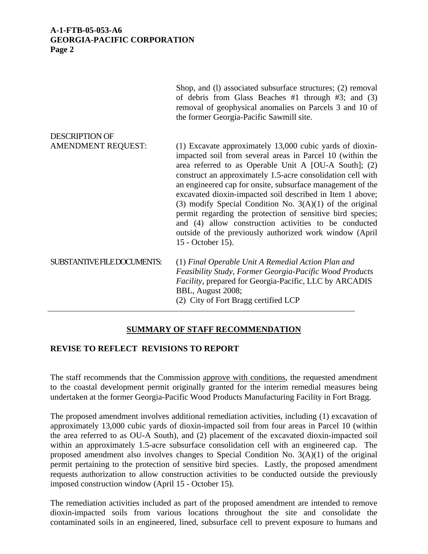|                             | Shop, and (1) associated subsurface structures; (2) removal<br>of debris from Glass Beaches #1 through #3; and $(3)$<br>removal of geophysical anomalies on Parcels 3 and 10 of<br>the former Georgia-Pacific Sawmill site.                                                                                                                                                                                                                                                                                                                                                                                                                   |
|-----------------------------|-----------------------------------------------------------------------------------------------------------------------------------------------------------------------------------------------------------------------------------------------------------------------------------------------------------------------------------------------------------------------------------------------------------------------------------------------------------------------------------------------------------------------------------------------------------------------------------------------------------------------------------------------|
| <b>DESCRIPTION OF</b>       |                                                                                                                                                                                                                                                                                                                                                                                                                                                                                                                                                                                                                                               |
| <b>AMENDMENT REQUEST:</b>   | (1) Excavate approximately 13,000 cubic yards of dioxin-<br>impacted soil from several areas in Parcel 10 (within the<br>area referred to as Operable Unit A [OU-A South]; (2)<br>construct an approximately 1.5-acre consolidation cell with<br>an engineered cap for onsite, subsurface management of the<br>excavated dioxin-impacted soil described in Item 1 above;<br>(3) modify Special Condition No. $3(A)(1)$ of the original<br>permit regarding the protection of sensitive bird species;<br>and (4) allow construction activities to be conducted<br>outside of the previously authorized work window (April<br>15 - October 15). |
| SUBSTANTIVE FILE DOCUMENTS: | (1) Final Operable Unit A Remedial Action Plan and<br>Feasibility Study, Former Georgia-Pacific Wood Products<br>Facility, prepared for Georgia-Pacific, LLC by ARCADIS<br>BBL, August 2008;<br>(2) City of Fort Bragg certified LCP                                                                                                                                                                                                                                                                                                                                                                                                          |

# **SUMMARY OF STAFF RECOMMENDATION**

## **REVISE TO REFLECT REVISIONS TO REPORT**

The staff recommends that the Commission approve with conditions, the requested amendment to the coastal development permit originally granted for the interim remedial measures being undertaken at the former Georgia-Pacific Wood Products Manufacturing Facility in Fort Bragg.

The proposed amendment involves additional remediation activities, including (1) excavation of approximately 13,000 cubic yards of dioxin-impacted soil from four areas in Parcel 10 (within the area referred to as OU-A South), and (2) placement of the excavated dioxin-impacted soil within an approximately 1.5-acre subsurface consolidation cell with an engineered cap. The proposed amendment also involves changes to Special Condition No.  $3(A)(1)$  of the original permit pertaining to the protection of sensitive bird species. Lastly, the proposed amendment requests authorization to allow construction activities to be conducted outside the previously imposed construction window (April 15 - October 15).

The remediation activities included as part of the proposed amendment are intended to remove dioxin-impacted soils from various locations throughout the site and consolidate the contaminated soils in an engineered, lined, subsurface cell to prevent exposure to humans and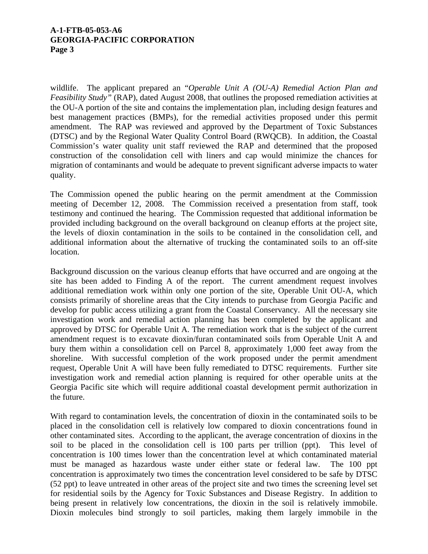wildlife. The applicant prepared an "*Operable Unit A (OU-A) Remedial Action Plan and Feasibility Study"* (RAP), dated August 2008, that outlines the proposed remediation activities at the OU-A portion of the site and contains the implementation plan, including design features and best management practices (BMPs), for the remedial activities proposed under this permit amendment. The RAP was reviewed and approved by the Department of Toxic Substances (DTSC) and by the Regional Water Quality Control Board (RWQCB). In addition, the Coastal Commission's water quality unit staff reviewed the RAP and determined that the proposed construction of the consolidation cell with liners and cap would minimize the chances for migration of contaminants and would be adequate to prevent significant adverse impacts to water quality.

The Commission opened the public hearing on the permit amendment at the Commission meeting of December 12, 2008. The Commission received a presentation from staff, took testimony and continued the hearing. The Commission requested that additional information be provided including background on the overall background on cleanup efforts at the project site, the levels of dioxin contamination in the soils to be contained in the consolidation cell, and additional information about the alternative of trucking the contaminated soils to an off-site location.

Background discussion on the various cleanup efforts that have occurred and are ongoing at the site has been added to Finding A of the report.The current amendment request involves additional remediation work within only one portion of the site, Operable Unit OU-A, which consists primarily of shoreline areas that the City intends to purchase from Georgia Pacific and develop for public access utilizing a grant from the Coastal Conservancy. All the necessary site investigation work and remedial action planning has been completed by the applicant and approved by DTSC for Operable Unit A. The remediation work that is the subject of the current amendment request is to excavate dioxin/furan contaminated soils from Operable Unit A and bury them within a consolidation cell on Parcel 8, approximately 1,000 feet away from the shoreline. With successful completion of the work proposed under the permit amendment request, Operable Unit A will have been fully remediated to DTSC requirements. Further site investigation work and remedial action planning is required for other operable units at the Georgia Pacific site which will require additional coastal development permit authorization in the future.

With regard to contamination levels, the concentration of dioxin in the contaminated soils to be placed in the consolidation cell is relatively low compared to dioxin concentrations found in other contaminated sites. According to the applicant, the average concentration of dioxins in the soil to be placed in the consolidation cell is 100 parts per trillion (ppt). This level of concentration is 100 times lower than the concentration level at which contaminated material must be managed as hazardous waste under either state or federal law. The 100 ppt concentration is approximately two times the concentration level considered to be safe by DTSC (52 ppt) to leave untreated in other areas of the project site and two times the screening level set for residential soils by the Agency for Toxic Substances and Disease Registry. In addition to being present in relatively low concentrations, the dioxin in the soil is relatively immobile. Dioxin molecules bind strongly to soil particles, making them largely immobile in the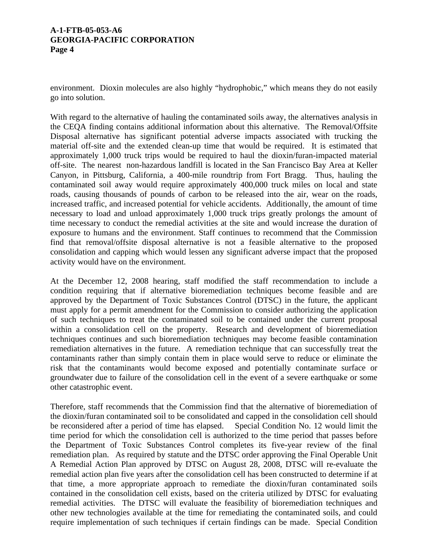environment. Dioxin molecules are also highly "hydrophobic," which means they do not easily go into solution.

With regard to the alternative of hauling the contaminated soils away, the alternatives analysis in the CEQA finding contains additional information about this alternative. The Removal/Offsite Disposal alternative has significant potential adverse impacts associated with trucking the material off-site and the extended clean-up time that would be required. It is estimated that approximately 1,000 truck trips would be required to haul the dioxin/furan-impacted material off-site. The nearest non-hazardous landfill is located in the San Francisco Bay Area at Keller Canyon, in Pittsburg, California, a 400-mile roundtrip from Fort Bragg. Thus, hauling the contaminated soil away would require approximately 400,000 truck miles on local and state roads, causing thousands of pounds of carbon to be released into the air, wear on the roads, increased traffic, and increased potential for vehicle accidents. Additionally, the amount of time necessary to load and unload approximately 1,000 truck trips greatly prolongs the amount of time necessary to conduct the remedial activities at the site and would increase the duration of exposure to humans and the environment. Staff continues to recommend that the Commission find that removal/offsite disposal alternative is not a feasible alternative to the proposed consolidation and capping which would lessen any significant adverse impact that the proposed activity would have on the environment.

At the December 12, 2008 hearing, staff modified the staff recommendation to include a condition requiring that if alternative bioremediation techniques become feasible and are approved by the Department of Toxic Substances Control (DTSC) in the future, the applicant must apply for a permit amendment for the Commission to consider authorizing the application of such techniques to treat the contaminated soil to be contained under the current proposal within a consolidation cell on the property. Research and development of bioremediation techniques continues and such bioremediation techniques may become feasible contamination remediation alternatives in the future. A remediation technique that can successfully treat the contaminants rather than simply contain them in place would serve to reduce or eliminate the risk that the contaminants would become exposed and potentially contaminate surface or groundwater due to failure of the consolidation cell in the event of a severe earthquake or some other catastrophic event.

Therefore, staff recommends that the Commission find that the alternative of bioremediation of the dioxin/furan contaminated soil to be consolidated and capped in the consolidation cell should be reconsidered after a period of time has elapsed. Special Condition No. 12 would limit the time period for which the consolidation cell is authorized to the time period that passes before the Department of Toxic Substances Control completes its five-year review of the final remediation plan. As required by statute and the DTSC order approving the Final Operable Unit A Remedial Action Plan approved by DTSC on August 28, 2008, DTSC will re-evaluate the remedial action plan five years after the consolidation cell has been constructed to determine if at that time, a more appropriate approach to remediate the dioxin/furan contaminated soils contained in the consolidation cell exists, based on the criteria utilized by DTSC for evaluating remedial activities. The DTSC will evaluate the feasibility of bioremediation techniques and other new technologies available at the time for remediating the contaminated soils, and could require implementation of such techniques if certain findings can be made. Special Condition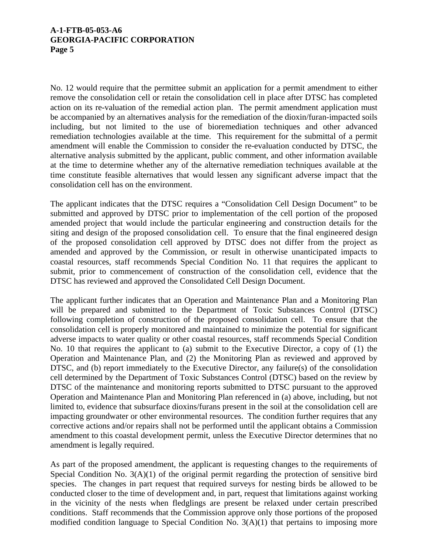No. 12 would require that the permittee submit an application for a permit amendment to either remove the consolidation cell or retain the consolidation cell in place after DTSC has completed action on its re-valuation of the remedial action plan. The permit amendment application must be accompanied by an alternatives analysis for the remediation of the dioxin/furan-impacted soils including, but not limited to the use of bioremediation techniques and other advanced remediation technologies available at the time. This requirement for the submittal of a permit amendment will enable the Commission to consider the re-evaluation conducted by DTSC, the alternative analysis submitted by the applicant, public comment, and other information available at the time to determine whether any of the alternative remediation techniques available at the time constitute feasible alternatives that would lessen any significant adverse impact that the consolidation cell has on the environment.

The applicant indicates that the DTSC requires a "Consolidation Cell Design Document" to be submitted and approved by DTSC prior to implementation of the cell portion of the proposed amended project that would include the particular engineering and construction details for the siting and design of the proposed consolidation cell. To ensure that the final engineered design of the proposed consolidation cell approved by DTSC does not differ from the project as amended and approved by the Commission, or result in otherwise unanticipated impacts to coastal resources, staff recommends Special Condition No. 11 that requires the applicant to submit, prior to commencement of construction of the consolidation cell, evidence that the DTSC has reviewed and approved the Consolidated Cell Design Document.

The applicant further indicates that an Operation and Maintenance Plan and a Monitoring Plan will be prepared and submitted to the Department of Toxic Substances Control (DTSC) following completion of construction of the proposed consolidation cell. To ensure that the consolidation cell is properly monitored and maintained to minimize the potential for significant adverse impacts to water quality or other coastal resources, staff recommends Special Condition No. 10 that requires the applicant to (a) submit to the Executive Director, a copy of (1) the Operation and Maintenance Plan, and (2) the Monitoring Plan as reviewed and approved by DTSC, and (b) report immediately to the Executive Director, any failure(s) of the consolidation cell determined by the Department of Toxic Substances Control (DTSC) based on the review by DTSC of the maintenance and monitoring reports submitted to DTSC pursuant to the approved Operation and Maintenance Plan and Monitoring Plan referenced in (a) above, including, but not limited to, evidence that subsurface dioxins/furans present in the soil at the consolidation cell are impacting groundwater or other environmental resources. The condition further requires that any corrective actions and/or repairs shall not be performed until the applicant obtains a Commission amendment to this coastal development permit, unless the Executive Director determines that no amendment is legally required.

As part of the proposed amendment, the applicant is requesting changes to the requirements of Special Condition No. 3(A)(1) of the original permit regarding the protection of sensitive bird species. The changes in part request that required surveys for nesting birds be allowed to be conducted closer to the time of development and, in part, request that limitations against working in the vicinity of the nests when fledglings are present be relaxed under certain prescribed conditions. Staff recommends that the Commission approve only those portions of the proposed modified condition language to Special Condition No. 3(A)(1) that pertains to imposing more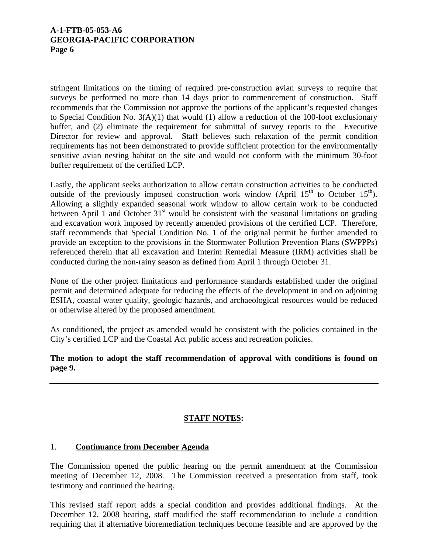stringent limitations on the timing of required pre-construction avian surveys to require that surveys be performed no more than 14 days prior to commencement of construction. Staff recommends that the Commission not approve the portions of the applicant's requested changes to Special Condition No. 3(A)(1) that would (1) allow a reduction of the 100-foot exclusionary buffer, and (2) eliminate the requirement for submittal of survey reports to the Executive Director for review and approval. Staff believes such relaxation of the permit condition requirements has not been demonstrated to provide sufficient protection for the environmentally sensitive avian nesting habitat on the site and would not conform with the minimum 30-foot buffer requirement of the certified LCP.

Lastly, the applicant seeks authorization to allow certain construction activities to be conducted outside of the previously imposed construction work window (April  $15<sup>th</sup>$  to October  $15<sup>th</sup>$ ). Allowing a slightly expanded seasonal work window to allow certain work to be conducted between April 1 and October  $31<sup>st</sup>$  would be consistent with the seasonal limitations on grading and excavation work imposed by recently amended provisions of the certified LCP. Therefore, staff recommends that Special Condition No. 1 of the original permit be further amended to provide an exception to the provisions in the Stormwater Pollution Prevention Plans (SWPPPs) referenced therein that all excavation and Interim Remedial Measure (IRM) activities shall be conducted during the non-rainy season as defined from April 1 through October 31.

None of the other project limitations and performance standards established under the original permit and determined adequate for reducing the effects of the development in and on adjoining ESHA, coastal water quality, geologic hazards, and archaeological resources would be reduced or otherwise altered by the proposed amendment.

As conditioned, the project as amended would be consistent with the policies contained in the City's certified LCP and the Coastal Act public access and recreation policies.

# **The motion to adopt the staff recommendation of approval with conditions is found on page 9.**

# **STAFF NOTES:**

# 1. **Continuance from December Agenda**

The Commission opened the public hearing on the permit amendment at the Commission meeting of December 12, 2008. The Commission received a presentation from staff, took testimony and continued the hearing.

This revised staff report adds a special condition and provides additional findings. At the December 12, 2008 hearing, staff modified the staff recommendation to include a condition requiring that if alternative bioremediation techniques become feasible and are approved by the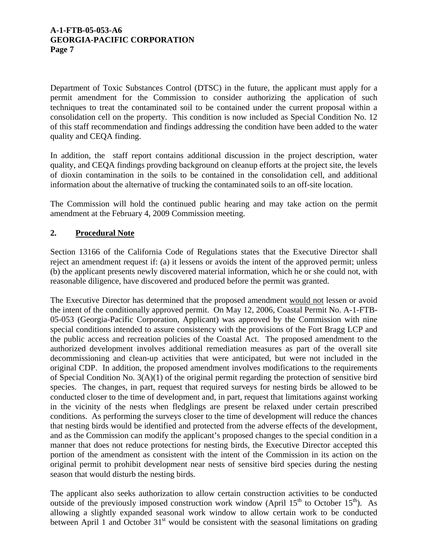Department of Toxic Substances Control (DTSC) in the future, the applicant must apply for a permit amendment for the Commission to consider authorizing the application of such techniques to treat the contaminated soil to be contained under the current proposal within a consolidation cell on the property. This condition is now included as Special Condition No. 12 of this staff recommendation and findings addressing the condition have been added to the water quality and CEQA finding.

In addition, the staff report contains additional discussion in the project description, water quality, and CEQA findings provding background on cleanup efforts at the project site, the levels of dioxin contamination in the soils to be contained in the consolidation cell, and additional information about the alternative of trucking the contaminated soils to an off-site location.

The Commission will hold the continued public hearing and may take action on the permit amendment at the February 4, 2009 Commission meeting.

# **2. Procedural Note**

Section 13166 of the California Code of Regulations states that the Executive Director shall reject an amendment request if: (a) it lessens or avoids the intent of the approved permit; unless (b) the applicant presents newly discovered material information, which he or she could not, with reasonable diligence, have discovered and produced before the permit was granted.

The Executive Director has determined that the proposed amendment would not lessen or avoid the intent of the conditionally approved permit. On May 12, 2006, Coastal Permit No. A-1-FTB-05-053 (Georgia-Pacific Corporation, Applicant) was approved by the Commission with nine special conditions intended to assure consistency with the provisions of the Fort Bragg LCP and the public access and recreation policies of the Coastal Act. The proposed amendment to the authorized development involves additional remediation measures as part of the overall site decommissioning and clean-up activities that were anticipated, but were not included in the original CDP. In addition, the proposed amendment involves modifications to the requirements of Special Condition No. 3(A)(1) of the original permit regarding the protection of sensitive bird species. The changes, in part, request that required surveys for nesting birds be allowed to be conducted closer to the time of development and, in part, request that limitations against working in the vicinity of the nests when fledglings are present be relaxed under certain prescribed conditions. As performing the surveys closer to the time of development will reduce the chances that nesting birds would be identified and protected from the adverse effects of the development, and as the Commission can modify the applicant's proposed changes to the special condition in a manner that does not reduce protections for nesting birds, the Executive Director accepted this portion of the amendment as consistent with the intent of the Commission in its action on the original permit to prohibit development near nests of sensitive bird species during the nesting season that would disturb the nesting birds.

The applicant also seeks authorization to allow certain construction activities to be conducted outside of the previously imposed construction work window (April  $15<sup>th</sup>$  to October  $15<sup>th</sup>$ ). As allowing a slightly expanded seasonal work window to allow certain work to be conducted between April 1 and October  $31<sup>st</sup>$  would be consistent with the seasonal limitations on grading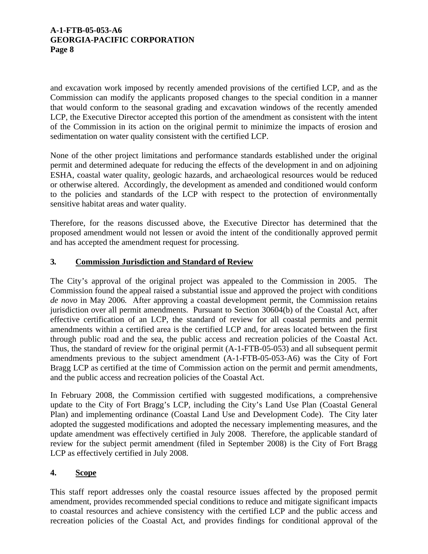and excavation work imposed by recently amended provisions of the certified LCP, and as the Commission can modify the applicants proposed changes to the special condition in a manner that would conform to the seasonal grading and excavation windows of the recently amended LCP, the Executive Director accepted this portion of the amendment as consistent with the intent of the Commission in its action on the original permit to minimize the impacts of erosion and sedimentation on water quality consistent with the certified LCP.

None of the other project limitations and performance standards established under the original permit and determined adequate for reducing the effects of the development in and on adjoining ESHA, coastal water quality, geologic hazards, and archaeological resources would be reduced or otherwise altered. Accordingly, the development as amended and conditioned would conform to the policies and standards of the LCP with respect to the protection of environmentally sensitive habitat areas and water quality.

Therefore, for the reasons discussed above, the Executive Director has determined that the proposed amendment would not lessen or avoid the intent of the conditionally approved permit and has accepted the amendment request for processing.

# **3***.* **Commission Jurisdiction and Standard of Review**

The City's approval of the original project was appealed to the Commission in 2005. The Commission found the appeal raised a substantial issue and approved the project with conditions *de novo* in May 2006*.* After approving a coastal development permit, the Commission retains jurisdiction over all permit amendments. Pursuant to Section 30604(b) of the Coastal Act, after effective certification of an LCP, the standard of review for all coastal permits and permit amendments within a certified area is the certified LCP and, for areas located between the first through public road and the sea, the public access and recreation policies of the Coastal Act. Thus, the standard of review for the original permit (A-1-FTB-05-053) and all subsequent permit amendments previous to the subject amendment (A-1-FTB-05-053-A6) was the City of Fort Bragg LCP as certified at the time of Commission action on the permit and permit amendments, and the public access and recreation policies of the Coastal Act.

In February 2008, the Commission certified with suggested modifications, a comprehensive update to the City of Fort Bragg's LCP, including the City's Land Use Plan (Coastal General Plan) and implementing ordinance (Coastal Land Use and Development Code). The City later adopted the suggested modifications and adopted the necessary implementing measures, and the update amendment was effectively certified in July 2008. Therefore, the applicable standard of review for the subject permit amendment (filed in September 2008) is the City of Fort Bragg LCP as effectively certified in July 2008.

# **4. Scope**

This staff report addresses only the coastal resource issues affected by the proposed permit amendment, provides recommended special conditions to reduce and mitigate significant impacts to coastal resources and achieve consistency with the certified LCP and the public access and recreation policies of the Coastal Act, and provides findings for conditional approval of the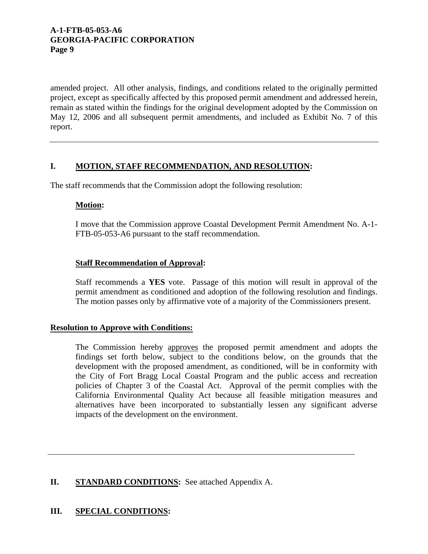amended project. All other analysis, findings, and conditions related to the originally permitted project, except as specifically affected by this proposed permit amendment and addressed herein, remain as stated within the findings for the original development adopted by the Commission on May 12, 2006 and all subsequent permit amendments, and included as Exhibit No. 7 of this report.

# **I. MOTION, STAFF RECOMMENDATION, AND RESOLUTION:**

The staff recommends that the Commission adopt the following resolution:

## **Motion:**

I move that the Commission approve Coastal Development Permit Amendment No. A-1- FTB-05-053-A6 pursuant to the staff recommendation.

## **Staff Recommendation of Approval:**

Staff recommends a **YES** vote. Passage of this motion will result in approval of the permit amendment as conditioned and adoption of the following resolution and findings. The motion passes only by affirmative vote of a majority of the Commissioners present.

## **Resolution to Approve with Conditions:**

The Commission hereby approves the proposed permit amendment and adopts the findings set forth below, subject to the conditions below, on the grounds that the development with the proposed amendment, as conditioned, will be in conformity with the City of Fort Bragg Local Coastal Program and the public access and recreation policies of Chapter 3 of the Coastal Act. Approval of the permit complies with the California Environmental Quality Act because all feasible mitigation measures and alternatives have been incorporated to substantially lessen any significant adverse impacts of the development on the environment.

## **II. STANDARD CONDITIONS:** See attached Appendix A.

## **III. SPECIAL CONDITIONS:**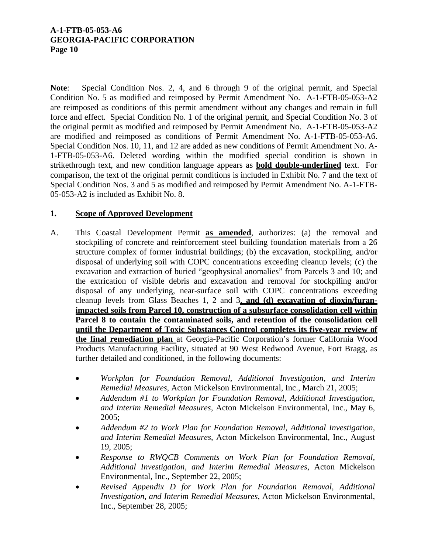**Note**: Special Condition Nos. 2, 4, and 6 through 9 of the original permit, and Special Condition No. 5 as modified and reimposed by Permit Amendment No. A-1-FTB-05-053-A2 are reimposed as conditions of this permit amendment without any changes and remain in full force and effect. Special Condition No. 1 of the original permit, and Special Condition No. 3 of the original permit as modified and reimposed by Permit Amendment No. A-1-FTB-05-053-A2 are modified and reimposed as conditions of Permit Amendment No. A-1-FTB-05-053-A6. Special Condition Nos. 10, 11, and 12 are added as new conditions of Permit Amendment No. A-1-FTB-05-053-A6. Deleted wording within the modified special condition is shown in strikethrough text, and new condition language appears as **bold double-underlined** text. For comparison, the text of the original permit conditions is included in Exhibit No. 7 and the text of Special Condition Nos. 3 and 5 as modified and reimposed by Permit Amendment No. A-1-FTB-05-053-A2 is included as Exhibit No. 8.

# **1. Scope of Approved Development**

- A. This Coastal Development Permit **as amended**, authorizes: (a) the removal and stockpiling of concrete and reinforcement steel building foundation materials from a 26 structure complex of former industrial buildings; (b) the excavation, stockpiling, and/or disposal of underlying soil with COPC concentrations exceeding cleanup levels; (c) the excavation and extraction of buried "geophysical anomalies" from Parcels 3 and 10; and the extrication of visible debris and excavation and removal for stockpiling and/or disposal of any underlying, near-surface soil with COPC concentrations exceeding cleanup levels from Glass Beaches 1, 2 and 3, **and (d) excavation of dioxin/furanimpacted soils from Parcel 10, construction of a subsurface consolidation cell within Parcel 8 to contain the contaminated soils, and retention of the consolidation cell until the Department of Toxic Substances Control completes its five-year review of the final remediation plan** at Georgia-Pacific Corporation's former California Wood Products Manufacturing Facility, situated at 90 West Redwood Avenue, Fort Bragg, as further detailed and conditioned, in the following documents:
	- *Workplan for Foundation Removal, Additional Investigation, and Interim Remedial Measures*, Acton Mickelson Environmental, Inc., March 21, 2005;
	- *Addendum #1 to Workplan for Foundation Removal, Additional Investigation, and Interim Remedial Measures*, Acton Mickelson Environmental, Inc., May 6, 2005;
	- *Addendum #2 to Work Plan for Foundation Removal, Additional Investigation, and Interim Remedial Measures*, Acton Mickelson Environmental, Inc., August 19, 2005;
	- *Response to RWQCB Comments on Work Plan for Foundation Removal, Additional Investigation, and Interim Remedial Measures*, Acton Mickelson Environmental, Inc., September 22, 2005;
	- *Revised Appendix D for Work Plan for Foundation Removal, Additional Investigation, and Interim Remedial Measures*, Acton Mickelson Environmental, Inc., September 28, 2005;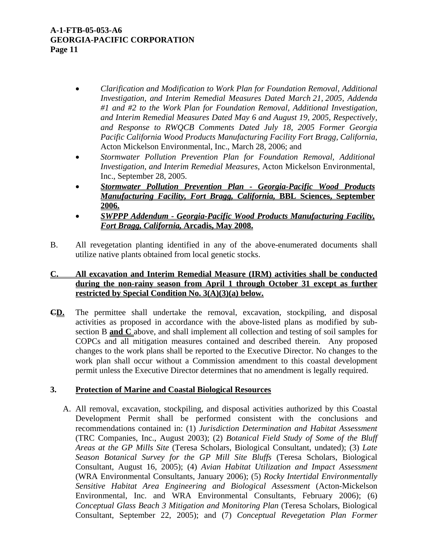- *Clarification and Modification to Work Plan for Foundation Removal, Additional Investigation, and Interim Remedial Measures Dated March 21, 2005, Addenda #1 and #2 to the Work Plan for Foundation Removal, Additional Investigation, and Interim Remedial Measures Dated May 6 and August 19, 2005, Respectively, and Response to RWQCB Comments Dated July 18, 2005 Former Georgia Pacific California Wood Products Manufacturing Facility Fort Bragg, California*, Acton Mickelson Environmental, Inc., March 28, 2006; and
- *Stormwater Pollution Prevention Plan for Foundation Removal, Additional Investigation, and Interim Remedial Measures*, Acton Mickelson Environmental, Inc., September 28, 2005.
- *Stormwater Pollution Prevention Plan Georgia-Pacific Wood Products Manufacturing Facility, Fort Bragg, California,* **BBL Sciences, September 2006.**
- *SWPPP Addendum Georgia-Pacific Wood Products Manufacturing Facility, Fort Bragg, California,* **Arcadis, May 2008.**
- B. All revegetation planting identified in any of the above-enumerated documents shall utilize native plants obtained from local genetic stocks.

# **C. All excavation and Interim Remedial Measure (IRM) activities shall be conducted during the non-rainy season from April 1 through October 31 except as further restricted by Special Condition No. 3(A)(3)(a) below.**

**CD.** The permittee shall undertake the removal, excavation, stockpiling, and disposal activities as proposed in accordance with the above-listed plans as modified by subsection B **and C** above, and shall implement all collection and testing of soil samples for COPCs and all mitigation measures contained and described therein. Any proposed changes to the work plans shall be reported to the Executive Director. No changes to the work plan shall occur without a Commission amendment to this coastal development permit unless the Executive Director determines that no amendment is legally required.

# **3. Protection of Marine and Coastal Biological Resources**

A. All removal, excavation, stockpiling, and disposal activities authorized by this Coastal Development Permit shall be performed consistent with the conclusions and recommendations contained in: (1) *Jurisdiction Determination and Habitat Assessment* (TRC Companies, Inc., August 2003); (2) *Botanical Field Study of Some of the Bluff Areas at the GP Mills Site* (Teresa Scholars, Biological Consultant, undated); (3) *Late Season Botanical Survey for the GP Mill Site Bluffs* (Teresa Scholars, Biological Consultant, August 16, 2005); (4) *Avian Habitat Utilization and Impact Assessment* (WRA Environmental Consultants, January 2006); (5) *Rocky Intertidal Environmentally Sensitive Habitat Area Engineering and Biological Assessment* (Acton-Mickelson Environmental, Inc. and WRA Environmental Consultants, February 2006); (6) *Conceptual Glass Beach 3 Mitigation and Monitoring Plan* (Teresa Scholars, Biological Consultant, September 22, 2005); and (7) *Conceptual Revegetation Plan Former*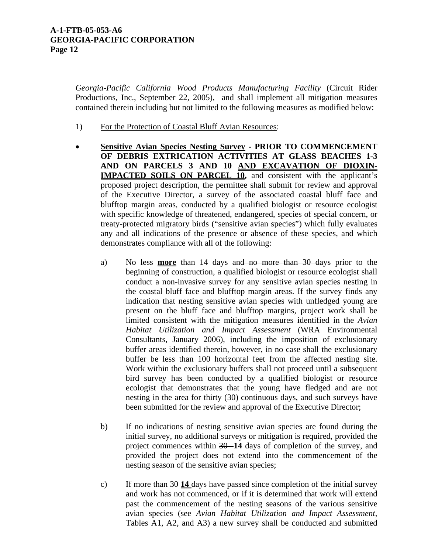*Georgia-Pacific California Wood Products Manufacturing Facility* (Circuit Rider Productions, Inc., September 22, 2005), and shall implement all mitigation measures contained therein including but not limited to the following measures as modified below:

- 1) For the Protection of Coastal Bluff Avian Resources:
- **Sensitive Avian Species Nesting Survey PRIOR TO COMMENCEMENT OF DEBRIS EXTRICATION ACTIVITIES AT GLASS BEACHES 1-3 AND ON PARCELS 3 AND 10 AND EXCAVATION OF DIOXIN-IMPACTED SOILS ON PARCEL 10,** and consistent with the applicant's proposed project description, the permittee shall submit for review and approval of the Executive Director, a survey of the associated coastal bluff face and blufftop margin areas, conducted by a qualified biologist or resource ecologist with specific knowledge of threatened, endangered, species of special concern, or treaty-protected migratory birds ("sensitive avian species") which fully evaluates any and all indications of the presence or absence of these species, and which demonstrates compliance with all of the following:
	- a) No less **more** than 14 days and no more than 30 days prior to the beginning of construction, a qualified biologist or resource ecologist shall conduct a non-invasive survey for any sensitive avian species nesting in the coastal bluff face and blufftop margin areas. If the survey finds any indication that nesting sensitive avian species with unfledged young are present on the bluff face and blufftop margins, project work shall be limited consistent with the mitigation measures identified in the *Avian Habitat Utilization and Impact Assessment* (WRA Environmental Consultants, January 2006), including the imposition of exclusionary buffer areas identified therein, however, in no case shall the exclusionary buffer be less than 100 horizontal feet from the affected nesting site. Work within the exclusionary buffers shall not proceed until a subsequent bird survey has been conducted by a qualified biologist or resource ecologist that demonstrates that the young have fledged and are not nesting in the area for thirty (30) continuous days, and such surveys have been submitted for the review and approval of the Executive Director;
	- b) If no indications of nesting sensitive avian species are found during the initial survey, no additional surveys or mitigation is required, provided the project commences within 30 **14** days of completion of the survey, and provided the project does not extend into the commencement of the nesting season of the sensitive avian species;
	- c) If more than 30 **14** days have passed since completion of the initial survey and work has not commenced, or if it is determined that work will extend past the commencement of the nesting seasons of the various sensitive avian species (see *Avian Habitat Utilization and Impact Assessment*, Tables A1, A2, and A3) a new survey shall be conducted and submitted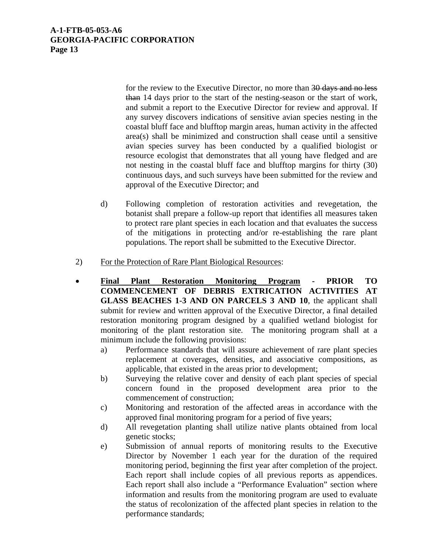for the review to the Executive Director, no more than 30 days and no less than 14 days prior to the start of the nesting-season or the start of work, and submit a report to the Executive Director for review and approval. If any survey discovers indications of sensitive avian species nesting in the coastal bluff face and blufftop margin areas, human activity in the affected area(s) shall be minimized and construction shall cease until a sensitive avian species survey has been conducted by a qualified biologist or resource ecologist that demonstrates that all young have fledged and are not nesting in the coastal bluff face and blufftop margins for thirty (30) continuous days, and such surveys have been submitted for the review and approval of the Executive Director; and

- d) Following completion of restoration activities and revegetation, the botanist shall prepare a follow-up report that identifies all measures taken to protect rare plant species in each location and that evaluates the success of the mitigations in protecting and/or re-establishing the rare plant populations. The report shall be submitted to the Executive Director.
- 2) For the Protection of Rare Plant Biological Resources:
- **Final Plant Restoration Monitoring Program PRIOR TO COMMENCEMENT OF DEBRIS EXTRICATION ACTIVITIES AT GLASS BEACHES 1-3 AND ON PARCELS 3 AND 10**, the applicant shall submit for review and written approval of the Executive Director, a final detailed restoration monitoring program designed by a qualified wetland biologist for monitoring of the plant restoration site. The monitoring program shall at a minimum include the following provisions:
	- a) Performance standards that will assure achievement of rare plant species replacement at coverages, densities, and associative compositions, as applicable, that existed in the areas prior to development;
	- b) Surveying the relative cover and density of each plant species of special concern found in the proposed development area prior to the commencement of construction;
	- c) Monitoring and restoration of the affected areas in accordance with the approved final monitoring program for a period of five years;
	- d) All revegetation planting shall utilize native plants obtained from local genetic stocks;
	- e) Submission of annual reports of monitoring results to the Executive Director by November 1 each year for the duration of the required monitoring period, beginning the first year after completion of the project. Each report shall include copies of all previous reports as appendices. Each report shall also include a "Performance Evaluation" section where information and results from the monitoring program are used to evaluate the status of recolonization of the affected plant species in relation to the performance standards;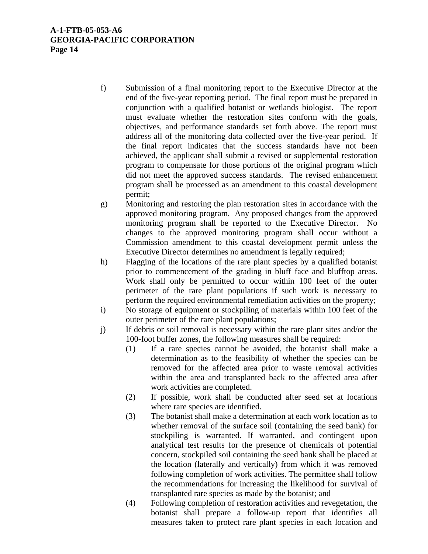- f) Submission of a final monitoring report to the Executive Director at the end of the five-year reporting period. The final report must be prepared in conjunction with a qualified botanist or wetlands biologist. The report must evaluate whether the restoration sites conform with the goals, objectives, and performance standards set forth above. The report must address all of the monitoring data collected over the five-year period. If the final report indicates that the success standards have not been achieved, the applicant shall submit a revised or supplemental restoration program to compensate for those portions of the original program which did not meet the approved success standards. The revised enhancement program shall be processed as an amendment to this coastal development permit;
- g) Monitoring and restoring the plan restoration sites in accordance with the approved monitoring program. Any proposed changes from the approved monitoring program shall be reported to the Executive Director. No changes to the approved monitoring program shall occur without a Commission amendment to this coastal development permit unless the Executive Director determines no amendment is legally required;
- h) Flagging of the locations of the rare plant species by a qualified botanist prior to commencement of the grading in bluff face and blufftop areas. Work shall only be permitted to occur within 100 feet of the outer perimeter of the rare plant populations if such work is necessary to perform the required environmental remediation activities on the property;
- i) No storage of equipment or stockpiling of materials within 100 feet of the outer perimeter of the rare plant populations;
- j) If debris or soil removal is necessary within the rare plant sites and/or the 100-foot buffer zones, the following measures shall be required:
	- (1) If a rare species cannot be avoided, the botanist shall make a determination as to the feasibility of whether the species can be removed for the affected area prior to waste removal activities within the area and transplanted back to the affected area after work activities are completed.
	- (2) If possible, work shall be conducted after seed set at locations where rare species are identified.
	- (3) The botanist shall make a determination at each work location as to whether removal of the surface soil (containing the seed bank) for stockpiling is warranted. If warranted, and contingent upon analytical test results for the presence of chemicals of potential concern, stockpiled soil containing the seed bank shall be placed at the location (laterally and vertically) from which it was removed following completion of work activities. The permittee shall follow the recommendations for increasing the likelihood for survival of transplanted rare species as made by the botanist; and
	- (4) Following completion of restoration activities and revegetation, the botanist shall prepare a follow-up report that identifies all measures taken to protect rare plant species in each location and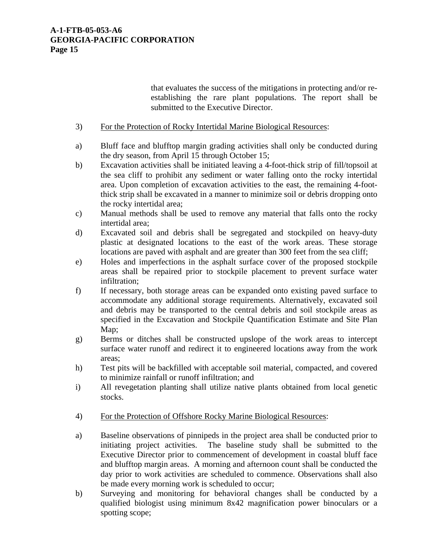that evaluates the success of the mitigations in protecting and/or reestablishing the rare plant populations. The report shall be submitted to the Executive Director.

- 3) For the Protection of Rocky Intertidal Marine Biological Resources:
- a) Bluff face and blufftop margin grading activities shall only be conducted during the dry season, from April 15 through October 15;
- b) Excavation activities shall be initiated leaving a 4-foot-thick strip of fill/topsoil at the sea cliff to prohibit any sediment or water falling onto the rocky intertidal area. Upon completion of excavation activities to the east, the remaining 4-footthick strip shall be excavated in a manner to minimize soil or debris dropping onto the rocky intertidal area;
- c) Manual methods shall be used to remove any material that falls onto the rocky intertidal area;
- d) Excavated soil and debris shall be segregated and stockpiled on heavy-duty plastic at designated locations to the east of the work areas. These storage locations are paved with asphalt and are greater than 300 feet from the sea cliff;
- e) Holes and imperfections in the asphalt surface cover of the proposed stockpile areas shall be repaired prior to stockpile placement to prevent surface water infiltration;
- f) If necessary, both storage areas can be expanded onto existing paved surface to accommodate any additional storage requirements. Alternatively, excavated soil and debris may be transported to the central debris and soil stockpile areas as specified in the Excavation and Stockpile Quantification Estimate and Site Plan Map;
- g) Berms or ditches shall be constructed upslope of the work areas to intercept surface water runoff and redirect it to engineered locations away from the work areas;
- h) Test pits will be backfilled with acceptable soil material, compacted, and covered to minimize rainfall or runoff infiltration; and
- i) All revegetation planting shall utilize native plants obtained from local genetic stocks.
- 4) For the Protection of Offshore Rocky Marine Biological Resources:
- a) Baseline observations of pinnipeds in the project area shall be conducted prior to initiating project activities. The baseline study shall be submitted to the Executive Director prior to commencement of development in coastal bluff face and blufftop margin areas. A morning and afternoon count shall be conducted the day prior to work activities are scheduled to commence. Observations shall also be made every morning work is scheduled to occur;
- b) Surveying and monitoring for behavioral changes shall be conducted by a qualified biologist using minimum 8x42 magnification power binoculars or a spotting scope;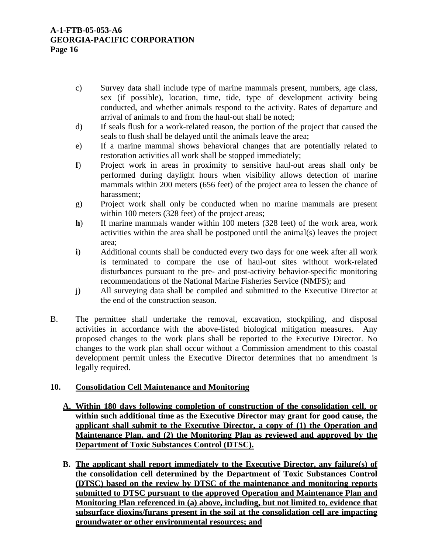- c) Survey data shall include type of marine mammals present, numbers, age class, sex (if possible), location, time, tide, type of development activity being conducted, and whether animals respond to the activity. Rates of departure and arrival of animals to and from the haul-out shall be noted;
- d) If seals flush for a work-related reason, the portion of the project that caused the seals to flush shall be delayed until the animals leave the area;
- e) If a marine mammal shows behavioral changes that are potentially related to restoration activities all work shall be stopped immediately;
- **f**) Project work in areas in proximity to sensitive haul-out areas shall only be performed during daylight hours when visibility allows detection of marine mammals within 200 meters (656 feet) of the project area to lessen the chance of harassment;
- g) Project work shall only be conducted when no marine mammals are present within 100 meters (328 feet) of the project areas;
- **h**) If marine mammals wander within 100 meters (328 feet) of the work area, work activities within the area shall be postponed until the animal(s) leaves the project area;
- **i**) Additional counts shall be conducted every two days for one week after all work is terminated to compare the use of haul-out sites without work-related disturbances pursuant to the pre- and post-activity behavior-specific monitoring recommendations of the National Marine Fisheries Service (NMFS); and
- j) All surveying data shall be compiled and submitted to the Executive Director at the end of the construction season.
- B. The permittee shall undertake the removal, excavation, stockpiling, and disposal activities in accordance with the above-listed biological mitigation measures. Any proposed changes to the work plans shall be reported to the Executive Director. No changes to the work plan shall occur without a Commission amendment to this coastal development permit unless the Executive Director determines that no amendment is legally required.

# **10. Consolidation Cell Maintenance and Monitoring**

- **A. Within 180 days following completion of construction of the consolidation cell, or within such additional time as the Executive Director may grant for good cause, the applicant shall submit to the Executive Director, a copy of (1) the Operation and Maintenance Plan, and (2) the Monitoring Plan as reviewed and approved by the Department of Toxic Substances Control (DTSC).**
- **B. The applicant shall report immediately to the Executive Director, any failure(s) of the consolidation cell determined by the Department of Toxic Substances Control (DTSC) based on the review by DTSC of the maintenance and monitoring reports submitted to DTSC pursuant to the approved Operation and Maintenance Plan and Monitoring Plan referenced in (a) above, including, but not limited to, evidence that subsurface dioxins/furans present in the soil at the consolidation cell are impacting groundwater or other environmental resources; and**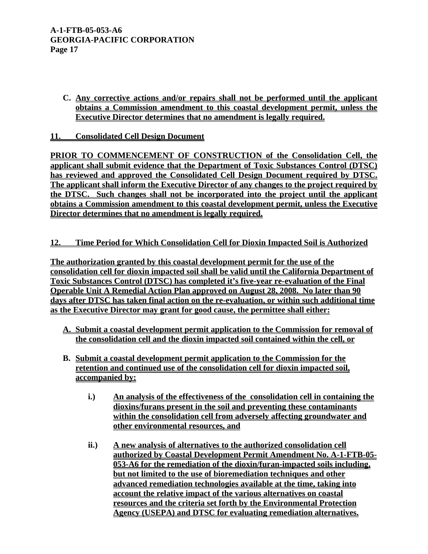**C. Any corrective actions and/or repairs shall not be performed until the applicant obtains a Commission amendment to this coastal development permit, unless the Executive Director determines that no amendment is legally required.** 

# **11. Consolidated Cell Design Document**

**PRIOR TO COMMENCEMENT OF CONSTRUCTION of the Consolidation Cell, the applicant shall submit evidence that the Department of Toxic Substances Control (DTSC) has reviewed and approved the Consolidated Cell Design Document required by DTSC. The applicant shall inform the Executive Director of any changes to the project required by the DTSC. Such changes shall not be incorporated into the project until the applicant obtains a Commission amendment to this coastal development permit, unless the Executive Director determines that no amendment is legally required.** 

## **12. Time Period for Which Consolidation Cell for Dioxin Impacted Soil is Authorized**

**The authorization granted by this coastal development permit for the use of the consolidation cell for dioxin impacted soil shall be valid until the California Department of Toxic Substances Control (DTSC) has completed it's five-year re-evaluation of the Final Operable Unit A Remedial Action Plan approved on August 28, 2008. No later than 90 days after DTSC has taken final action on the re-evaluation, or within such additional time as the Executive Director may grant for good cause, the permittee shall either:**

- **A. Submit a coastal development permit application to the Commission for removal of the consolidation cell and the dioxin impacted soil contained within the cell, or**
- **B. Submit a coastal development permit application to the Commission for the retention and continued use of the consolidation cell for dioxin impacted soil, accompanied by:**
	- **i.) An analysis of the effectiveness of the consolidation cell in containing the dioxins/furans present in the soil and preventing these contaminants within the consolidation cell from adversely affecting groundwater and other environmental resources, and**
	- **ii.) A new analysis of alternatives to the authorized consolidation cell authorized by Coastal Development Permit Amendment No. A-1-FTB-05- 053-A6 for the remediation of the dioxin/furan-impacted soils including, but not limited to the use of bioremediation techniques and other advanced remediation technologies available at the time, taking into account the relative impact of the various alternatives on coastal resources and the criteria set forth by the Environmental Protection Agency (USEPA) and DTSC for evaluating remediation alternatives.**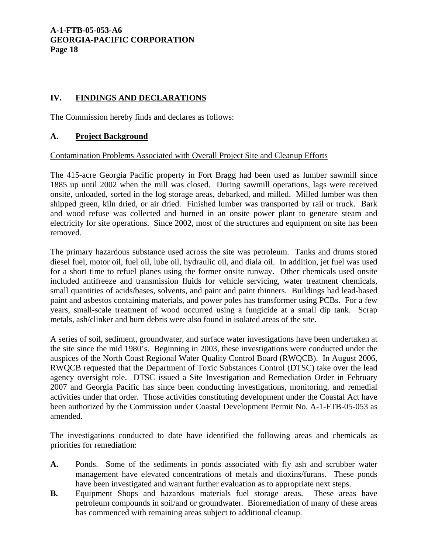# **IV. FINDINGS AND DECLARATIONS**

The Commission hereby finds and declares as follows:

# **A. Project Background**

## Contamination Problems Associated with Overall Project Site and Cleanup Efforts

The 415-acre Georgia Pacific property in Fort Bragg had been used as lumber sawmill since 1885 up until 2002 when the mill was closed. During sawmill operations, lags were received onsite, unloaded, sorted in the log storage areas, debarked, and milled. Milled lumber was then shipped green, kiln dried, or air dried. Finished lumber was transported by rail or truck. Bark and wood refuse was collected and burned in an onsite power plant to generate steam and electricity for site operations. Since 2002, most of the structures and equipment on site has been removed.

The primary hazardous substance used across the site was petroleum. Tanks and drums stored diesel fuel, motor oil, fuel oil, lube oil, hydraulic oil, and diala oil. In addition, jet fuel was used for a short time to refuel planes using the former onsite runway. Other chemicals used onsite included antifreeze and transmission fluids for vehicle servicing, water treatment chemicals, small quantities of acids/bases, solvents, and paint and paint thinners. Buildings had lead-based paint and asbestos containing materials, and power poles has transformer using PCBs. For a few years, small-scale treatment of wood occurred using a fungicide at a small dip tank. Scrap metals, ash/clinker and burn debris were also found in isolated areas of the site.

A series of soil, sediment, groundwater, and surface water investigations have been undertaken at the site since the mid 1980's. Beginning in 2003, these investigations were conducted under the auspices of the North Coast Regional Water Quality Control Board (RWQCB). In August 2006, RWQCB requested that the Department of Toxic Substances Control (DTSC) take over the lead agency oversight role. DTSC issued a Site Investigation and Remediation Order in February 2007 and Georgia Pacific has since been conducting investigations, monitoring, and remedial activities under that order. Those activities constituting development under the Coastal Act have been authorized by the Commission under Coastal Development Permit No. A-1-FTB-05-053 as amended.

The investigations conducted to date have identified the following areas and chemicals as priorities for remediation:

- **A.** Ponds. Some of the sediments in ponds associated with fly ash and scrubber water management have elevated concentrations of metals and dioxins/furans. These ponds have been investigated and warrant further evaluation as to appropriate next steps.
- **B.** Equipment Shops and hazardous materials fuel storage areas. These areas have petroleum compounds in soil/and or groundwater. Bioremediation of many of these areas has commenced with remaining areas subject to additional cleanup.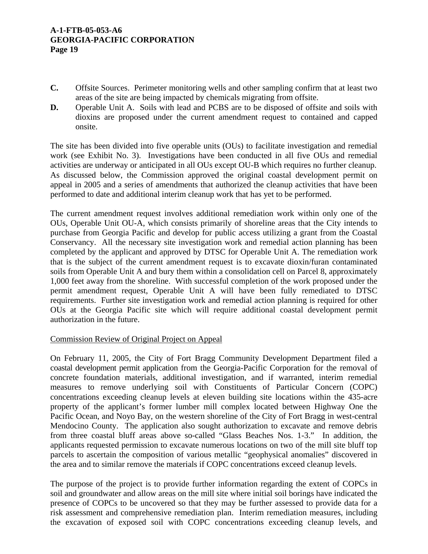- **C.** Offsite Sources. Perimeter monitoring wells and other sampling confirm that at least two areas of the site are being impacted by chemicals migrating from offsite.
- **D.** Operable Unit A. Soils with lead and PCBS are to be disposed of offsite and soils with dioxins are proposed under the current amendment request to contained and capped onsite.

The site has been divided into five operable units (OUs) to facilitate investigation and remedial work (see Exhibit No. 3). Investigations have been conducted in all five OUs and remedial activities are underway or anticipated in all OUs except OU-B which requires no further cleanup. As discussed below, the Commission approved the original coastal development permit on appeal in 2005 and a series of amendments that authorized the cleanup activities that have been performed to date and additional interim cleanup work that has yet to be performed.

The current amendment request involves additional remediation work within only one of the OUs, Operable Unit OU-A, which consists primarily of shoreline areas that the City intends to purchase from Georgia Pacific and develop for public access utilizing a grant from the Coastal Conservancy. All the necessary site investigation work and remedial action planning has been completed by the applicant and approved by DTSC for Operable Unit A. The remediation work that is the subject of the current amendment request is to excavate dioxin/furan contaminated soils from Operable Unit A and bury them within a consolidation cell on Parcel 8, approximately 1,000 feet away from the shoreline. With successful completion of the work proposed under the permit amendment request, Operable Unit A will have been fully remediated to DTSC requirements. Further site investigation work and remedial action planning is required for other OUs at the Georgia Pacific site which will require additional coastal development permit authorization in the future.

## Commission Review of Original Project on Appeal

On February 11, 2005, the City of Fort Bragg Community Development Department filed a coastal development permit application from the Georgia-Pacific Corporation for the removal of concrete foundation materials, additional investigation, and if warranted, interim remedial measures to remove underlying soil with Constituents of Particular Concern (COPC) concentrations exceeding cleanup levels at eleven building site locations within the 435-acre property of the applicant's former lumber mill complex located between Highway One the Pacific Ocean, and Noyo Bay, on the western shoreline of the City of Fort Bragg in west-central Mendocino County. The application also sought authorization to excavate and remove debris from three coastal bluff areas above so-called "Glass Beaches Nos. 1-3." In addition, the applicants requested permission to excavate numerous locations on two of the mill site bluff top parcels to ascertain the composition of various metallic "geophysical anomalies" discovered in the area and to similar remove the materials if COPC concentrations exceed cleanup levels.

The purpose of the project is to provide further information regarding the extent of COPCs in soil and groundwater and allow areas on the mill site where initial soil borings have indicated the presence of COPCs to be uncovered so that they may be further assessed to provide data for a risk assessment and comprehensive remediation plan. Interim remediation measures, including the excavation of exposed soil with COPC concentrations exceeding cleanup levels, and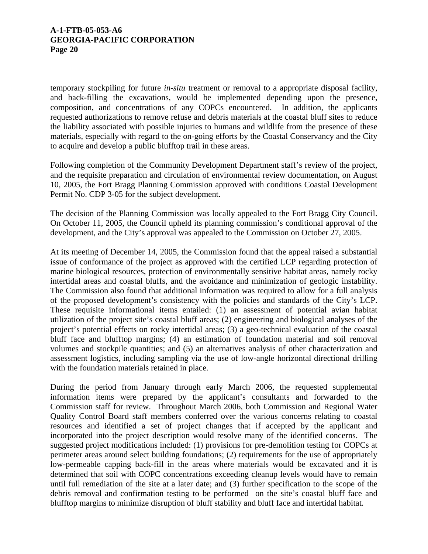temporary stockpiling for future *in-situ* treatment or removal to a appropriate disposal facility, and back-filling the excavations, would be implemented depending upon the presence, composition, and concentrations of any COPCs encountered. In addition, the applicants requested authorizations to remove refuse and debris materials at the coastal bluff sites to reduce the liability associated with possible injuries to humans and wildlife from the presence of these materials, especially with regard to the on-going efforts by the Coastal Conservancy and the City to acquire and develop a public blufftop trail in these areas.

Following completion of the Community Development Department staff's review of the project, and the requisite preparation and circulation of environmental review documentation, on August 10, 2005, the Fort Bragg Planning Commission approved with conditions Coastal Development Permit No. CDP 3-05 for the subject development.

The decision of the Planning Commission was locally appealed to the Fort Bragg City Council. On October 11, 2005, the Council upheld its planning commission's conditional approval of the development, and the City's approval was appealed to the Commission on October 27, 2005.

At its meeting of December 14, 2005, the Commission found that the appeal raised a substantial issue of conformance of the project as approved with the certified LCP regarding protection of marine biological resources, protection of environmentally sensitive habitat areas, namely rocky intertidal areas and coastal bluffs, and the avoidance and minimization of geologic instability. The Commission also found that additional information was required to allow for a full analysis of the proposed development's consistency with the policies and standards of the City's LCP. These requisite informational items entailed: (1) an assessment of potential avian habitat utilization of the project site's coastal bluff areas; (2) engineering and biological analyses of the project's potential effects on rocky intertidal areas; (3) a geo-technical evaluation of the coastal bluff face and blufftop margins; (4) an estimation of foundation material and soil removal volumes and stockpile quantities; and (5) an alternatives analysis of other characterization and assessment logistics, including sampling via the use of low-angle horizontal directional drilling with the foundation materials retained in place.

During the period from January through early March 2006, the requested supplemental information items were prepared by the applicant's consultants and forwarded to the Commission staff for review. Throughout March 2006, both Commission and Regional Water Quality Control Board staff members conferred over the various concerns relating to coastal resources and identified a set of project changes that if accepted by the applicant and incorporated into the project description would resolve many of the identified concerns. The suggested project modifications included: (1) provisions for pre-demolition testing for COPCs at perimeter areas around select building foundations; (2) requirements for the use of appropriately low-permeable capping back-fill in the areas where materials would be excavated and it is determined that soil with COPC concentrations exceeding cleanup levels would have to remain until full remediation of the site at a later date; and (3) further specification to the scope of the debris removal and confirmation testing to be performed on the site's coastal bluff face and blufftop margins to minimize disruption of bluff stability and bluff face and intertidal habitat.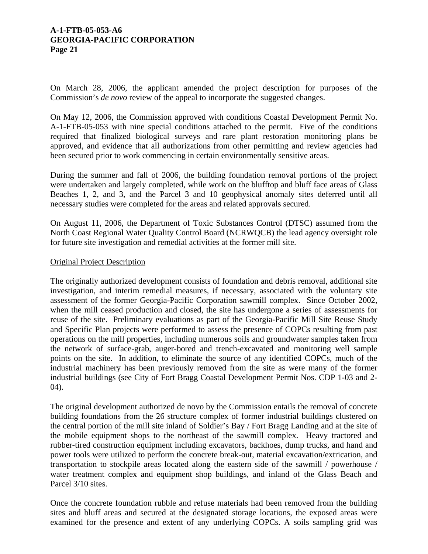On March 28, 2006, the applicant amended the project description for purposes of the Commission's *de novo* review of the appeal to incorporate the suggested changes.

On May 12, 2006, the Commission approved with conditions Coastal Development Permit No. A-1-FTB-05-053 with nine special conditions attached to the permit. Five of the conditions required that finalized biological surveys and rare plant restoration monitoring plans be approved, and evidence that all authorizations from other permitting and review agencies had been secured prior to work commencing in certain environmentally sensitive areas.

During the summer and fall of 2006, the building foundation removal portions of the project were undertaken and largely completed, while work on the blufftop and bluff face areas of Glass Beaches 1, 2, and 3, and the Parcel 3 and 10 geophysical anomaly sites deferred until all necessary studies were completed for the areas and related approvals secured.

On August 11, 2006, the Department of Toxic Substances Control (DTSC) assumed from the North Coast Regional Water Quality Control Board (NCRWQCB) the lead agency oversight role for future site investigation and remedial activities at the former mill site.

## Original Project Description

The originally authorized development consists of foundation and debris removal, additional site investigation, and interim remedial measures, if necessary, associated with the voluntary site assessment of the former Georgia-Pacific Corporation sawmill complex. Since October 2002, when the mill ceased production and closed, the site has undergone a series of assessments for reuse of the site. Preliminary evaluations as part of the Georgia-Pacific Mill Site Reuse Study and Specific Plan projects were performed to assess the presence of COPCs resulting from past operations on the mill properties, including numerous soils and groundwater samples taken from the network of surface-grab, auger-bored and trench-excavated and monitoring well sample points on the site. In addition, to eliminate the source of any identified COPCs, much of the industrial machinery has been previously removed from the site as were many of the former industrial buildings (see City of Fort Bragg Coastal Development Permit Nos. CDP 1-03 and 2- 04).

The original development authorized de novo by the Commission entails the removal of concrete building foundations from the 26 structure complex of former industrial buildings clustered on the central portion of the mill site inland of Soldier's Bay / Fort Bragg Landing and at the site of the mobile equipment shops to the northeast of the sawmill complex. Heavy tractored and rubber-tired construction equipment including excavators, backhoes, dump trucks, and hand and power tools were utilized to perform the concrete break-out, material excavation/extrication, and transportation to stockpile areas located along the eastern side of the sawmill / powerhouse / water treatment complex and equipment shop buildings, and inland of the Glass Beach and Parcel 3/10 sites.

Once the concrete foundation rubble and refuse materials had been removed from the building sites and bluff areas and secured at the designated storage locations, the exposed areas were examined for the presence and extent of any underlying COPCs. A soils sampling grid was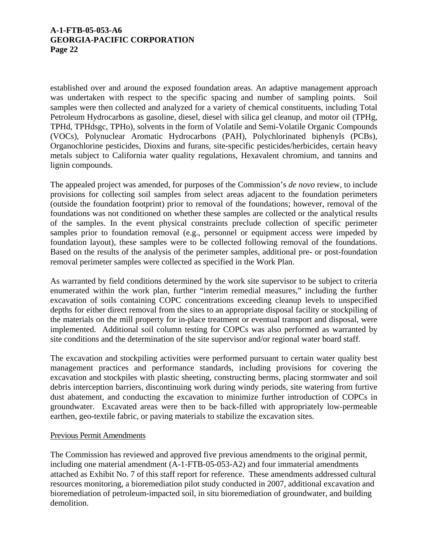established over and around the exposed foundation areas. An adaptive management approach was undertaken with respect to the specific spacing and number of sampling points. Soil samples were then collected and analyzed for a variety of chemical constituents, including Total Petroleum Hydrocarbons as gasoline, diesel, diesel with silica gel cleanup, and motor oil (TPHg, TPHd, TPHdsgc, TPHo), solvents in the form of Volatile and Semi-Volatile Organic Compounds (VOCs), Polynuclear Aromatic Hydrocarbons (PAH), Polychlorinated biphenyls (PCBs), Organochlorine pesticides, Dioxins and furans, site-specific pesticides/herbicides, certain heavy metals subject to California water quality regulations, Hexavalent chromium, and tannins and lignin compounds.

The appealed project was amended, for purposes of the Commission's *de novo* review, to include provisions for collecting soil samples from select areas adjacent to the foundation perimeters (outside the foundation footprint) prior to removal of the foundations; however, removal of the foundations was not conditioned on whether these samples are collected or the analytical results of the samples. In the event physical constraints preclude collection of specific perimeter samples prior to foundation removal (e.g., personnel or equipment access were impeded by foundation layout), these samples were to be collected following removal of the foundations. Based on the results of the analysis of the perimeter samples, additional pre- or post-foundation removal perimeter samples were collected as specified in the Work Plan.

As warranted by field conditions determined by the work site supervisor to be subject to criteria enumerated within the work plan, further "interim remedial measures," including the further excavation of soils containing COPC concentrations exceeding cleanup levels to unspecified depths for either direct removal from the sites to an appropriate disposal facility or stockpiling of the materials on the mill property for in-place treatment or eventual transport and disposal, were implemented. Additional soil column testing for COPCs was also performed as warranted by site conditions and the determination of the site supervisor and/or regional water board staff.

The excavation and stockpiling activities were performed pursuant to certain water quality best management practices and performance standards, including provisions for covering the excavation and stockpiles with plastic sheeting, constructing berms, placing stormwater and soil debris interception barriers, discontinuing work during windy periods, site watering from furtive dust abatement, and conducting the excavation to minimize further introduction of COPCs in groundwater. Excavated areas were then to be back-filled with appropriately low-permeable earthen, geo-textile fabric, or paving materials to stabilize the excavation sites.

## Previous Permit Amendments

The Commission has reviewed and approved five previous amendments to the original permit, including one material amendment (A-1-FTB-05-053-A2) and four immaterial amendments attached as Exhibit No. 7 of this staff report for reference. These amendments addressed cultural resources monitoring, a bioremediation pilot study conducted in 2007, additional excavation and bioremediation of petroleum-impacted soil, in situ bioremediation of groundwater, and building demolition.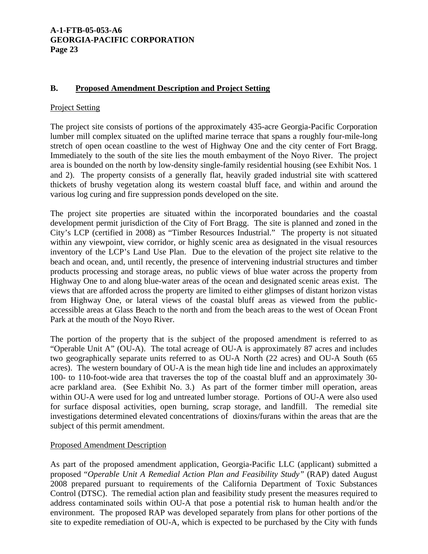# **B. Proposed Amendment Description and Project Setting**

#### Project Setting

The project site consists of portions of the approximately 435-acre Georgia-Pacific Corporation lumber mill complex situated on the uplifted marine terrace that spans a roughly four-mile-long stretch of open ocean coastline to the west of Highway One and the city center of Fort Bragg. Immediately to the south of the site lies the mouth embayment of the Noyo River. The project area is bounded on the north by low-density single-family residential housing (see Exhibit Nos. 1 and 2). The property consists of a generally flat, heavily graded industrial site with scattered thickets of brushy vegetation along its western coastal bluff face, and within and around the various log curing and fire suppression ponds developed on the site.

The project site properties are situated within the incorporated boundaries and the coastal development permit jurisdiction of the City of Fort Bragg. The site is planned and zoned in the City's LCP (certified in 2008) as "Timber Resources Industrial." The property is not situated within any viewpoint, view corridor, or highly scenic area as designated in the visual resources inventory of the LCP's Land Use Plan. Due to the elevation of the project site relative to the beach and ocean, and, until recently, the presence of intervening industrial structures and timber products processing and storage areas, no public views of blue water across the property from Highway One to and along blue-water areas of the ocean and designated scenic areas exist. The views that are afforded across the property are limited to either glimpses of distant horizon vistas from Highway One, or lateral views of the coastal bluff areas as viewed from the publicaccessible areas at Glass Beach to the north and from the beach areas to the west of Ocean Front Park at the mouth of the Noyo River.

The portion of the property that is the subject of the proposed amendment is referred to as "Operable Unit A" (OU-A). The total acreage of OU-A is approximately 87 acres and includes two geographically separate units referred to as OU-A North (22 acres) and OU-A South (65 acres). The western boundary of OU-A is the mean high tide line and includes an approximately 100- to 110-foot-wide area that traverses the top of the coastal bluff and an approximately 30 acre parkland area. (See Exhibit No. 3.) As part of the former timber mill operation, areas within OU-A were used for log and untreated lumber storage. Portions of OU-A were also used for surface disposal activities, open burning, scrap storage, and landfill. The remedial site investigations determined elevated concentrations of dioxins/furans within the areas that are the subject of this permit amendment.

## Proposed Amendment Description

As part of the proposed amendment application, Georgia-Pacific LLC (applicant) submitted a proposed "*Operable Unit A Remedial Action Plan and Feasibility Study"* (RAP) dated August 2008 prepared pursuant to requirements of the California Department of Toxic Substances Control (DTSC). The remedial action plan and feasibility study present the measures required to address contaminated soils within OU-A that pose a potential risk to human health and/or the environment. The proposed RAP was developed separately from plans for other portions of the site to expedite remediation of OU-A, which is expected to be purchased by the City with funds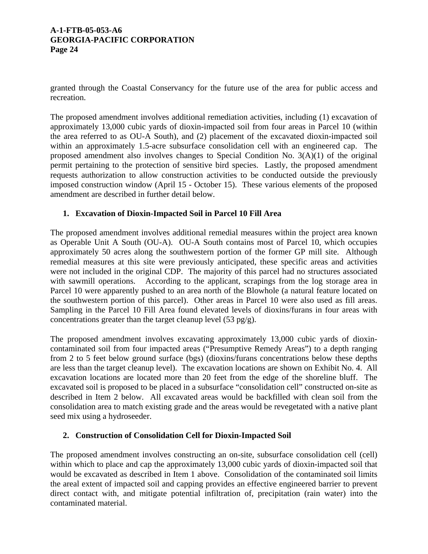granted through the Coastal Conservancy for the future use of the area for public access and recreation.

The proposed amendment involves additional remediation activities, including (1) excavation of approximately 13,000 cubic yards of dioxin-impacted soil from four areas in Parcel 10 (within the area referred to as OU-A South), and (2) placement of the excavated dioxin-impacted soil within an approximately 1.5-acre subsurface consolidation cell with an engineered cap. The proposed amendment also involves changes to Special Condition No. 3(A)(1) of the original permit pertaining to the protection of sensitive bird species. Lastly, the proposed amendment requests authorization to allow construction activities to be conducted outside the previously imposed construction window (April 15 - October 15). These various elements of the proposed amendment are described in further detail below.

# **1. Excavation of Dioxin-Impacted Soil in Parcel 10 Fill Area**

The proposed amendment involves additional remedial measures within the project area known as Operable Unit A South (OU-A). OU-A South contains most of Parcel 10, which occupies approximately 50 acres along the southwestern portion of the former GP mill site. Although remedial measures at this site were previously anticipated, these specific areas and activities were not included in the original CDP. The majority of this parcel had no structures associated with sawmill operations. According to the applicant, scrapings from the log storage area in Parcel 10 were apparently pushed to an area north of the Blowhole (a natural feature located on the southwestern portion of this parcel). Other areas in Parcel 10 were also used as fill areas. Sampling in the Parcel 10 Fill Area found elevated levels of dioxins/furans in four areas with concentrations greater than the target cleanup level  $(53 \text{ pg/g})$ .

The proposed amendment involves excavating approximately 13,000 cubic yards of dioxincontaminated soil from four impacted areas ("Presumptive Remedy Areas") to a depth ranging from 2 to 5 feet below ground surface (bgs) (dioxins/furans concentrations below these depths are less than the target cleanup level). The excavation locations are shown on Exhibit No. 4. All excavation locations are located more than 20 feet from the edge of the shoreline bluff. The excavated soil is proposed to be placed in a subsurface "consolidation cell" constructed on-site as described in Item 2 below. All excavated areas would be backfilled with clean soil from the consolidation area to match existing grade and the areas would be revegetated with a native plant seed mix using a hydroseeder.

# **2. Construction of Consolidation Cell for Dioxin-Impacted Soil**

The proposed amendment involves constructing an on-site, subsurface consolidation cell (cell) within which to place and cap the approximately 13,000 cubic yards of dioxin-impacted soil that would be excavated as described in Item 1 above. Consolidation of the contaminated soil limits the areal extent of impacted soil and capping provides an effective engineered barrier to prevent direct contact with, and mitigate potential infiltration of, precipitation (rain water) into the contaminated material.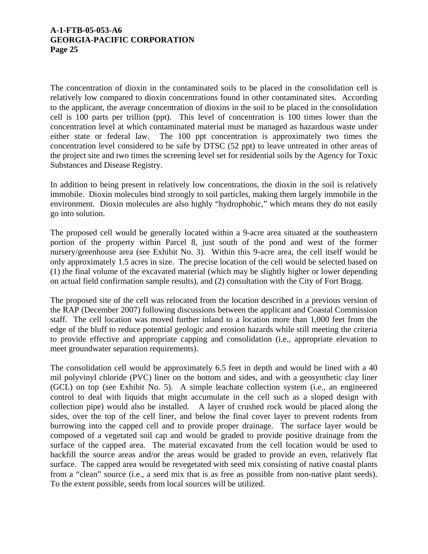The concentration of dioxin in the contaminated soils to be placed in the consolidation cell is relatively low compared to dioxin concentrations found in other contaminated sites. According to the applicant, the average concentration of dioxins in the soil to be placed in the consolidation cell is 100 parts per trillion (ppt). This level of concentration is 100 times lower than the concentration level at which contaminated material must be managed as hazardous waste under either state or federal law. The 100 ppt concentration is approximately two times the concentration level considered to be safe by DTSC (52 ppt) to leave untreated in other areas of the project site and two times the screening level set for residential soils by the Agency for Toxic Substances and Disease Registry.

In addition to being present in relatively low concentrations, the dioxin in the soil is relatively immobile. Dioxin molecules bind strongly to soil particles, making them largely immobile in the environment. Dioxin molecules are also highly "hydrophobic," which means they do not easily go into solution.

The proposed cell would be generally located within a 9-acre area situated at the southeastern portion of the property within Parcel 8, just south of the pond and west of the former nursery/greenhouse area (see Exhibit No. 3). Within this 9-acre area, the cell itself would be only approximately 1.5 acres in size. The precise location of the cell would be selected based on (1) the final volume of the excavated material (which may be slightly higher or lower depending on actual field confirmation sample results), and (2) consultation with the City of Fort Bragg.

The proposed site of the cell was relocated from the location described in a previous version of the RAP (December 2007) following discussions between the applicant and Coastal Commission staff. The cell location was moved further inland to a location more than 1,000 feet from the edge of the bluff to reduce potential geologic and erosion hazards while still meeting the criteria to provide effective and appropriate capping and consolidation (i.e., appropriate elevation to meet groundwater separation requirements).

The consolidation cell would be approximately 6.5 feet in depth and would be lined with a 40 mil polyvinyl chloride (PVC) liner on the bottom and sides, and with a geosynthetic clay liner (GCL) on top (see Exhibit No. 5). A simple leachate collection system (i.e., an engineered control to deal with liquids that might accumulate in the cell such as a sloped design with collection pipe) would also be installed. A layer of crushed rock would be placed along the sides, over the top of the cell liner, and below the final cover layer to prevent rodents from burrowing into the capped cell and to provide proper drainage. The surface layer would be composed of a vegetated soil cap and would be graded to provide positive drainage from the surface of the capped area. The material excavated from the cell location would be used to backfill the source areas and/or the areas would be graded to provide an even, relatively flat surface. The capped area would be revegetated with seed mix consisting of native coastal plants from a "clean" source (i.e., a seed mix that is as free as possible from non-native plant seeds). To the extent possible, seeds from local sources will be utilized.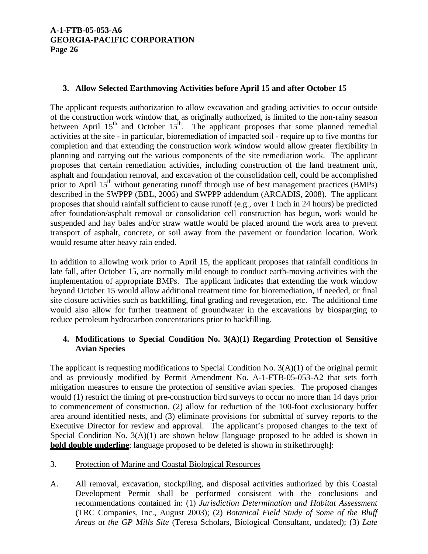# **3. Allow Selected Earthmoving Activities before April 15 and after October 15**

The applicant requests authorization to allow excavation and grading activities to occur outside of the construction work window that, as originally authorized, is limited to the non-rainy season between April  $15<sup>th</sup>$  and October  $15<sup>th</sup>$ . The applicant proposes that some planned remedial activities at the site - in particular, bioremediation of impacted soil - require up to five months for completion and that extending the construction work window would allow greater flexibility in planning and carrying out the various components of the site remediation work. The applicant proposes that certain remediation activities, including construction of the land treatment unit, asphalt and foundation removal, and excavation of the consolidation cell, could be accomplished prior to April 15<sup>th</sup> without generating runoff through use of best management practices (BMPs) described in the SWPPP (BBL, 2006) and SWPPP addendum (ARCADIS, 2008). The applicant proposes that should rainfall sufficient to cause runoff (e.g., over 1 inch in 24 hours) be predicted after foundation/asphalt removal or consolidation cell construction has begun, work would be suspended and hay bales and/or straw wattle would be placed around the work area to prevent transport of asphalt, concrete, or soil away from the pavement or foundation location. Work would resume after heavy rain ended.

In addition to allowing work prior to April 15, the applicant proposes that rainfall conditions in late fall, after October 15, are normally mild enough to conduct earth-moving activities with the implementation of appropriate BMPs. The applicant indicates that extending the work window beyond October 15 would allow additional treatment time for bioremediation, if needed, or final site closure activities such as backfilling, final grading and revegetation, etc. The additional time would also allow for further treatment of groundwater in the excavations by biosparging to reduce petroleum hydrocarbon concentrations prior to backfilling.

# **4. Modifications to Special Condition No. 3(A)(1) Regarding Protection of Sensitive Avian Species**

The applicant is requesting modifications to Special Condition No. 3(A)(1) of the original permit and as previously modified by Permit Amendment No. A-1-FTB-05-053-A2 that sets forth mitigation measures to ensure the protection of sensitive avian species. The proposed changes would (1) restrict the timing of pre-construction bird surveys to occur no more than 14 days prior to commencement of construction, (2) allow for reduction of the 100-foot exclusionary buffer area around identified nests, and (3) eliminate provisions for submittal of survey reports to the Executive Director for review and approval. The applicant's proposed changes to the text of Special Condition No. 3(A)(1) are shown below [language proposed to be added is shown in **bold double underline**; language proposed to be deleted is shown in strikethrough]:

## 3. Protection of Marine and Coastal Biological Resources

A. All removal, excavation, stockpiling, and disposal activities authorized by this Coastal Development Permit shall be performed consistent with the conclusions and recommendations contained in: (1) *Jurisdiction Determination and Habitat Assessment* (TRC Companies, Inc., August 2003); (2) *Botanical Field Study of Some of the Bluff Areas at the GP Mills Site* (Teresa Scholars, Biological Consultant, undated); (3) *Late*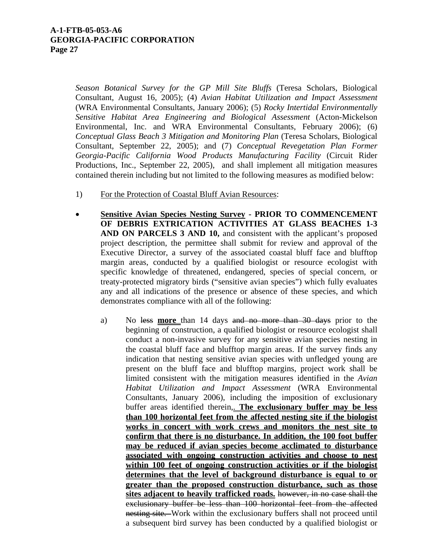*Season Botanical Survey for the GP Mill Site Bluffs* (Teresa Scholars, Biological Consultant, August 16, 2005); (4) *Avian Habitat Utilization and Impact Assessment* (WRA Environmental Consultants, January 2006); (5) *Rocky Intertidal Environmentally Sensitive Habitat Area Engineering and Biological Assessment* (Acton-Mickelson Environmental, Inc. and WRA Environmental Consultants, February 2006); (6) *Conceptual Glass Beach 3 Mitigation and Monitoring Plan* (Teresa Scholars, Biological Consultant, September 22, 2005); and (7) *Conceptual Revegetation Plan Former Georgia-Pacific California Wood Products Manufacturing Facility* (Circuit Rider Productions, Inc., September 22, 2005), and shall implement all mitigation measures contained therein including but not limited to the following measures as modified below:

- 1) For the Protection of Coastal Bluff Avian Resources:
- **Sensitive Avian Species Nesting Survey PRIOR TO COMMENCEMENT OF DEBRIS EXTRICATION ACTIVITIES AT GLASS BEACHES 1-3 AND ON PARCELS 3 AND 10,** and consistent with the applicant's proposed project description, the permittee shall submit for review and approval of the Executive Director, a survey of the associated coastal bluff face and blufftop margin areas, conducted by a qualified biologist or resource ecologist with specific knowledge of threatened, endangered, species of special concern, or treaty-protected migratory birds ("sensitive avian species") which fully evaluates any and all indications of the presence or absence of these species, and which demonstrates compliance with all of the following:
	- a) No less **more** than 14 days and no more than 30 days prior to the beginning of construction, a qualified biologist or resource ecologist shall conduct a non-invasive survey for any sensitive avian species nesting in the coastal bluff face and blufftop margin areas. If the survey finds any indication that nesting sensitive avian species with unfledged young are present on the bluff face and blufftop margins, project work shall be limited consistent with the mitigation measures identified in the *Avian Habitat Utilization and Impact Assessment* (WRA Environmental Consultants, January 2006), including the imposition of exclusionary buffer areas identified therein,. **The exclusionary buffer may be less than 100 horizontal feet from the affected nesting site if the biologist works in concert with work crews and monitors the nest site to confirm that there is no disturbance. In addition, the 100 foot buffer may be reduced if avian species become acclimated to disturbance associated with ongoing construction activities and choose to nest within 100 feet of ongoing construction activities or if the biologist determines that the level of background disturbance is equal to or greater than the proposed construction disturbance, such as those sites adjacent to heavily trafficked roads.** however, in no case shall the exclusionary buffer be less than 100 horizontal feet from the affected nesting site. Work within the exclusionary buffers shall not proceed until a subsequent bird survey has been conducted by a qualified biologist or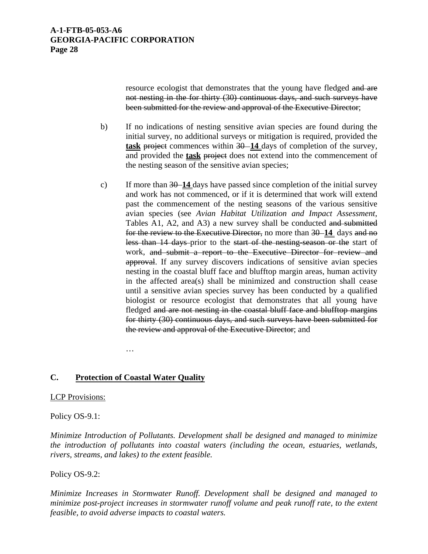resource ecologist that demonstrates that the young have fledged and are not nesting in the for thirty (30) continuous days, and such surveys have been submitted for the review and approval of the Executive Director;

- b) If no indications of nesting sensitive avian species are found during the initial survey, no additional surveys or mitigation is required, provided the **task** project commences within 30–14 days of completion of the survey, and provided the **task** project does not extend into the commencement of the nesting season of the sensitive avian species;
- c) If more than 30 **14** days have passed since completion of the initial survey and work has not commenced, or if it is determined that work will extend past the commencement of the nesting seasons of the various sensitive avian species (see *Avian Habitat Utilization and Impact Assessment*, Tables A1, A2, and A3) a new survey shall be conducted and submitted for the review to the Executive Director, no more than 30 **14** days and no less than 14 days prior to the start of the nesting-season or the start of work, and submit a report to the Executive Director for review and approval. If any survey discovers indications of sensitive avian species nesting in the coastal bluff face and blufftop margin areas, human activity in the affected area(s) shall be minimized and construction shall cease until a sensitive avian species survey has been conducted by a qualified biologist or resource ecologist that demonstrates that all young have fledged and are not nesting in the coastal bluff face and blufftop margins for thirty (30) continuous days, and such surveys have been submitted for the review and approval of the Executive Director; and

…

# **C. Protection of Coastal Water Quality**

## LCP Provisions:

## Policy OS-9.1:

*Minimize Introduction of Pollutants. Development shall be designed and managed to minimize the introduction of pollutants into coastal waters (including the ocean, estuaries, wetlands, rivers, streams, and lakes) to the extent feasible.* 

## Policy OS-9.2:

*Minimize Increases in Stormwater Runoff. Development shall be designed and managed to minimize post-project increases in stormwater runoff volume and peak runoff rate, to the extent feasible, to avoid adverse impacts to coastal waters.*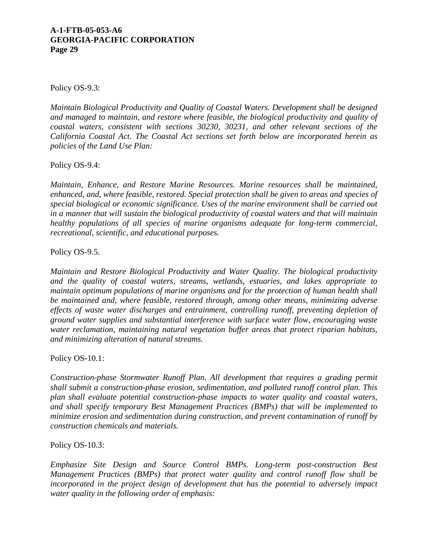Policy OS-9.3:

*Maintain Biological Productivity and Quality of Coastal Waters. Development shall be designed and managed to maintain, and restore where feasible, the biological productivity and quality of coastal waters, consistent with sections 30230, 30231, and other relevant sections of the California Coastal Act. The Coastal Act sections set forth below are incorporated herein as policies of the Land Use Plan:* 

Policy OS-9.4:

*Maintain, Enhance, and Restore Marine Resources. Marine resources shall be maintained, enhanced, and, where feasible, restored. Special protection shall be given to areas and species of special biological or economic significance. Uses of the marine environment shall be carried out in a manner that will sustain the biological productivity of coastal waters and that will maintain healthy populations of all species of marine organisms adequate for long-term commercial, recreational, scientific, and educational purposes.* 

Policy OS-9.5.

*Maintain and Restore Biological Productivity and Water Quality. The biological productivity and the quality of coastal waters, streams, wetlands, estuaries, and lakes appropriate to maintain optimum populations of marine organisms and for the protection of human health shall be maintained and, where feasible, restored through, among other means, minimizing adverse effects of waste water discharges and entrainment, controlling runoff, preventing depletion of ground water supplies and substantial interference with surface water flow, encouraging waste water reclamation, maintaining natural vegetation buffer areas that protect riparian habitats, and minimizing alteration of natural streams.* 

Policy OS-10.1:

*Construction-phase Stormwater Runoff Plan. All development that requires a grading permit shall submit a construction-phase erosion, sedimentation, and polluted runoff control plan. This plan shall evaluate potential construction-phase impacts to water quality and coastal waters, and shall specify temporary Best Management Practices (BMPs) that will be implemented to minimize erosion and sedimentation during construction, and prevent contamination of runoff by construction chemicals and materials.* 

Policy OS-10.3:

*Emphasize Site Design and Source Control BMPs. Long-term post-construction Best Management Practices (BMPs) that protect water quality and control runoff flow shall be*  incorporated in the project design of development that has the potential to adversely impact *water quality in the following order of emphasis:*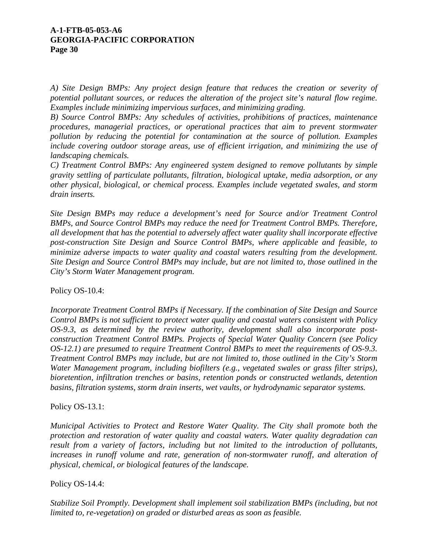*A) Site Design BMPs: Any project design feature that reduces the creation or severity of potential pollutant sources, or reduces the alteration of the project site's natural flow regime. Examples include minimizing impervious surfaces, and minimizing grading.* 

*B) Source Control BMPs: Any schedules of activities, prohibitions of practices, maintenance procedures, managerial practices, or operational practices that aim to prevent stormwater pollution by reducing the potential for contamination at the source of pollution. Examples*  include covering outdoor storage areas, use of efficient irrigation, and minimizing the use of *landscaping chemicals.* 

*C) Treatment Control BMPs: Any engineered system designed to remove pollutants by simple gravity settling of particulate pollutants, filtration, biological uptake, media adsorption, or any other physical, biological, or chemical process. Examples include vegetated swales, and storm drain inserts.* 

*Site Design BMPs may reduce a development's need for Source and/or Treatment Control BMPs, and Source Control BMPs may reduce the need for Treatment Control BMPs. Therefore, all development that has the potential to adversely affect water quality shall incorporate effective post-construction Site Design and Source Control BMPs, where applicable and feasible, to minimize adverse impacts to water quality and coastal waters resulting from the development. Site Design and Source Control BMPs may include, but are not limited to, those outlined in the City's Storm Water Management program.* 

Policy OS-10.4:

*Incorporate Treatment Control BMPs if Necessary. If the combination of Site Design and Source Control BMPs is not sufficient to protect water quality and coastal waters consistent with Policy OS-9.3, as determined by the review authority, development shall also incorporate postconstruction Treatment Control BMPs. Projects of Special Water Quality Concern (see Policy OS-12.1) are presumed to require Treatment Control BMPs to meet the requirements of OS-9.3. Treatment Control BMPs may include, but are not limited to, those outlined in the City's Storm Water Management program, including biofilters (e.g., vegetated swales or grass filter strips), bioretention, infiltration trenches or basins, retention ponds or constructed wetlands, detention basins, filtration systems, storm drain inserts, wet vaults, or hydrodynamic separator systems.* 

Policy OS-13.1:

*Municipal Activities to Protect and Restore Water Quality. The City shall promote both the protection and restoration of water quality and coastal waters. Water quality degradation can result from a variety of factors, including but not limited to the introduction of pollutants,*  increases in runoff volume and rate, generation of non-stormwater runoff, and alteration of *physical, chemical, or biological features of the landscape.* 

Policy OS-14.4:

*Stabilize Soil Promptly. Development shall implement soil stabilization BMPs (including, but not limited to, re-vegetation) on graded or disturbed areas as soon as feasible.*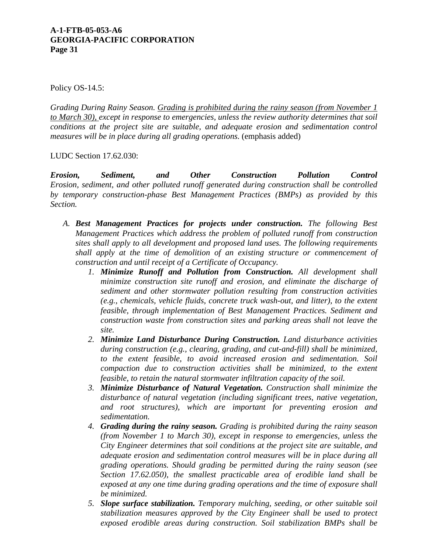Policy OS-14.5:

*Grading During Rainy Season. Grading is prohibited during the rainy season (from November 1 to March 30), except in response to emergencies, unless the review authority determines that soil conditions at the project site are suitable, and adequate erosion and sedimentation control measures will be in place during all grading operations.* (emphasis added)

LUDC Section 17.62.030:

*Erosion, Sediment, and Other Construction Pollution Control Erosion, sediment, and other polluted runoff generated during construction shall be controlled by temporary construction-phase Best Management Practices (BMPs) as provided by this Section.*

- *A. Best Management Practices for projects under construction. The following Best Management Practices which address the problem of polluted runoff from construction sites shall apply to all development and proposed land uses. The following requirements shall apply at the time of demolition of an existing structure or commencement of construction and until receipt of a Certificate of Occupancy.* 
	- *1. Minimize Runoff and Pollution from Construction. All development shall minimize construction site runoff and erosion, and eliminate the discharge of sediment and other stormwater pollution resulting from construction activities (e.g., chemicals, vehicle fluids, concrete truck wash-out, and litter), to the extent feasible, through implementation of Best Management Practices. Sediment and construction waste from construction sites and parking areas shall not leave the site.*
	- *2. Minimize Land Disturbance During Construction. Land disturbance activities during construction (e.g., clearing, grading, and cut-and-fill) shall be minimized, to the extent feasible, to avoid increased erosion and sedimentation. Soil compaction due to construction activities shall be minimized, to the extent feasible, to retain the natural stormwater infiltration capacity of the soil.*
	- *3. Minimize Disturbance of Natural Vegetation. Construction shall minimize the disturbance of natural vegetation (including significant trees, native vegetation, and root structures), which are important for preventing erosion and sedimentation.*
	- *4. Grading during the rainy season. Grading is prohibited during the rainy season (from November 1 to March 30), except in response to emergencies, unless the City Engineer determines that soil conditions at the project site are suitable, and adequate erosion and sedimentation control measures will be in place during all grading operations. Should grading be permitted during the rainy season (see Section 17.62.050), the smallest practicable area of erodible land shall be exposed at any one time during grading operations and the time of exposure shall be minimized.*
	- *5. Slope surface stabilization. Temporary mulching, seeding, or other suitable soil stabilization measures approved by the City Engineer shall be used to protect exposed erodible areas during construction. Soil stabilization BMPs shall be*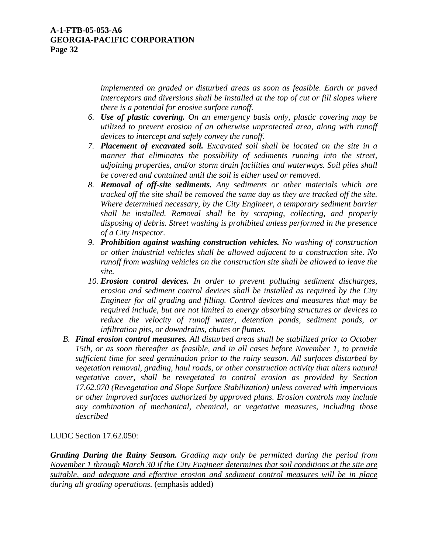*implemented on graded or disturbed areas as soon as feasible. Earth or paved interceptors and diversions shall be installed at the top of cut or fill slopes where there is a potential for erosive surface runoff.* 

- *6. Use of plastic covering. On an emergency basis only, plastic covering may be utilized to prevent erosion of an otherwise unprotected area, along with runoff devices to intercept and safely convey the runoff.*
- *7. Placement of excavated soil. Excavated soil shall be located on the site in a manner that eliminates the possibility of sediments running into the street, adjoining properties, and/or storm drain facilities and waterways. Soil piles shall be covered and contained until the soil is either used or removed.*
- *8. Removal of off-site sediments. Any sediments or other materials which are tracked off the site shall be removed the same day as they are tracked off the site. Where determined necessary, by the City Engineer, a temporary sediment barrier shall be installed. Removal shall be by scraping, collecting, and properly disposing of debris. Street washing is prohibited unless performed in the presence of a City Inspector.*
- *9. Prohibition against washing construction vehicles. No washing of construction or other industrial vehicles shall be allowed adjacent to a construction site. No runoff from washing vehicles on the construction site shall be allowed to leave the site.*
- *10. Erosion control devices. In order to prevent polluting sediment discharges, erosion and sediment control devices shall be installed as required by the City Engineer for all grading and filling. Control devices and measures that may be required include, but are not limited to energy absorbing structures or devices to reduce the velocity of runoff water, detention ponds, sediment ponds, or infiltration pits, or downdrains, chutes or flumes.*
- *B. Final erosion control measures. All disturbed areas shall be stabilized prior to October 15th, or as soon thereafter as feasible, and in all cases before November 1, to provide sufficient time for seed germination prior to the rainy season. All surfaces disturbed by vegetation removal, grading, haul roads, or other construction activity that alters natural vegetative cover, shall be revegetated to control erosion as provided by Section 17.62.070 (Revegetation and Slope Surface Stabilization) unless covered with impervious or other improved surfaces authorized by approved plans. Erosion controls may include any combination of mechanical, chemical, or vegetative measures, including those described*

LUDC Section 17.62.050:

*Grading During the Rainy Season. Grading may only be permitted during the period from November 1 through March 30 if the City Engineer determines that soil conditions at the site are suitable, and adequate and effective erosion and sediment control measures will be in place during all grading operations.* (emphasis added)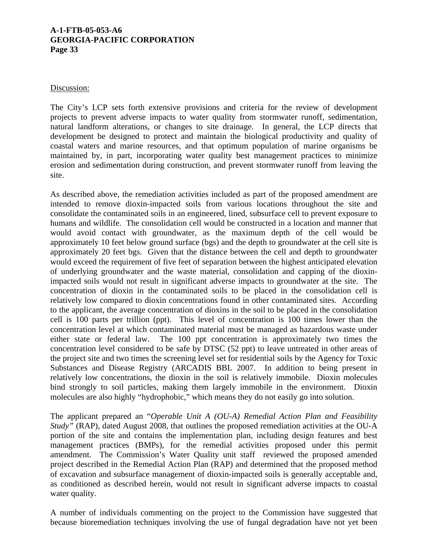#### Discussion:

The City's LCP sets forth extensive provisions and criteria for the review of development projects to prevent adverse impacts to water quality from stormwater runoff, sedimentation, natural landform alterations, or changes to site drainage. In general, the LCP directs that development be designed to protect and maintain the biological productivity and quality of coastal waters and marine resources, and that optimum population of marine organisms be maintained by, in part, incorporating water quality best management practices to minimize erosion and sedimentation during construction, and prevent stormwater runoff from leaving the site.

As described above, the remediation activities included as part of the proposed amendment are intended to remove dioxin-impacted soils from various locations throughout the site and consolidate the contaminated soils in an engineered, lined, subsurface cell to prevent exposure to humans and wildlife. The consolidation cell would be constructed in a location and manner that would avoid contact with groundwater, as the maximum depth of the cell would be approximately 10 feet below ground surface (bgs) and the depth to groundwater at the cell site is approximately 20 feet bgs. Given that the distance between the cell and depth to groundwater would exceed the requirement of five feet of separation between the highest anticipated elevation of underlying groundwater and the waste material, consolidation and capping of the dioxinimpacted soils would not result in significant adverse impacts to groundwater at the site. The concentration of dioxin in the contaminated soils to be placed in the consolidation cell is relatively low compared to dioxin concentrations found in other contaminated sites. According to the applicant, the average concentration of dioxins in the soil to be placed in the consolidation cell is 100 parts per trillion (ppt). This level of concentration is 100 times lower than the concentration level at which contaminated material must be managed as hazardous waste under either state or federal law. The 100 ppt concentration is approximately two times the concentration level considered to be safe by DTSC (52 ppt) to leave untreated in other areas of the project site and two times the screening level set for residential soils by the Agency for Toxic Substances and Disease Registry (ARCADIS BBL 2007. In addition to being present in relatively low concentrations, the dioxin in the soil is relatively immobile. Dioxin molecules bind strongly to soil particles, making them largely immobile in the environment. Dioxin molecules are also highly "hydrophobic," which means they do not easily go into solution.

The applicant prepared an "*Operable Unit A (OU-A) Remedial Action Plan and Feasibility Study"* (RAP), dated August 2008, that outlines the proposed remediation activities at the OU-A portion of the site and contains the implementation plan, including design features and best management practices (BMPs), for the remedial activities proposed under this permit amendment. The Commission's Water Quality unit staff reviewed the proposed amended project described in the Remedial Action Plan (RAP) and determined that the proposed method of excavation and subsurface management of dioxin-impacted soils is generally acceptable and, as conditioned as described herein, would not result in significant adverse impacts to coastal water quality.

A number of individuals commenting on the project to the Commission have suggested that because bioremediation techniques involving the use of fungal degradation have not yet been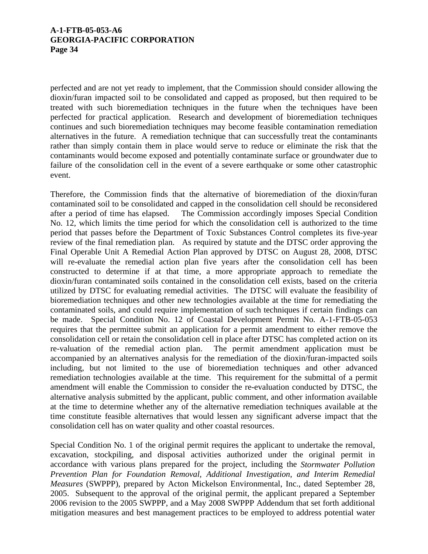perfected and are not yet ready to implement, that the Commission should consider allowing the dioxin/furan impacted soil to be consolidated and capped as proposed, but then required to be treated with such bioremediation techniques in the future when the techniques have been perfected for practical application. Research and development of bioremediation techniques continues and such bioremediation techniques may become feasible contamination remediation alternatives in the future. A remediation technique that can successfully treat the contaminants rather than simply contain them in place would serve to reduce or eliminate the risk that the contaminants would become exposed and potentially contaminate surface or groundwater due to failure of the consolidation cell in the event of a severe earthquake or some other catastrophic event.

Therefore, the Commission finds that the alternative of bioremediation of the dioxin/furan contaminated soil to be consolidated and capped in the consolidation cell should be reconsidered after a period of time has elapsed. The Commission accordingly imposes Special Condition No. 12, which limits the time period for which the consolidation cell is authorized to the time period that passes before the Department of Toxic Substances Control completes its five-year review of the final remediation plan. As required by statute and the DTSC order approving the Final Operable Unit A Remedial Action Plan approved by DTSC on August 28, 2008, DTSC will re-evaluate the remedial action plan five years after the consolidation cell has been constructed to determine if at that time, a more appropriate approach to remediate the dioxin/furan contaminated soils contained in the consolidation cell exists, based on the criteria utilized by DTSC for evaluating remedial activities. The DTSC will evaluate the feasibility of bioremediation techniques and other new technologies available at the time for remediating the contaminated soils, and could require implementation of such techniques if certain findings can be made. Special Condition No. 12 of Coastal Development Permit No. A-1-FTB-05-053 requires that the permittee submit an application for a permit amendment to either remove the consolidation cell or retain the consolidation cell in place after DTSC has completed action on its re-valuation of the remedial action plan. The permit amendment application must be accompanied by an alternatives analysis for the remediation of the dioxin/furan-impacted soils including, but not limited to the use of bioremediation techniques and other advanced remediation technologies available at the time. This requirement for the submittal of a permit amendment will enable the Commission to consider the re-evaluation conducted by DTSC, the alternative analysis submitted by the applicant, public comment, and other information available at the time to determine whether any of the alternative remediation techniques available at the time constitute feasible alternatives that would lessen any significant adverse impact that the consolidation cell has on water quality and other coastal resources.

Special Condition No. 1 of the original permit requires the applicant to undertake the removal, excavation, stockpiling, and disposal activities authorized under the original permit in accordance with various plans prepared for the project, including the *Stormwater Pollution Prevention Plan for Foundation Removal, Additional Investigation, and Interim Remedial Measures* (SWPPP), prepared by Acton Mickelson Environmental, Inc., dated September 28, 2005. Subsequent to the approval of the original permit, the applicant prepared a September 2006 revision to the 2005 SWPPP, and a May 2008 SWPPP Addendum that set forth additional mitigation measures and best management practices to be employed to address potential water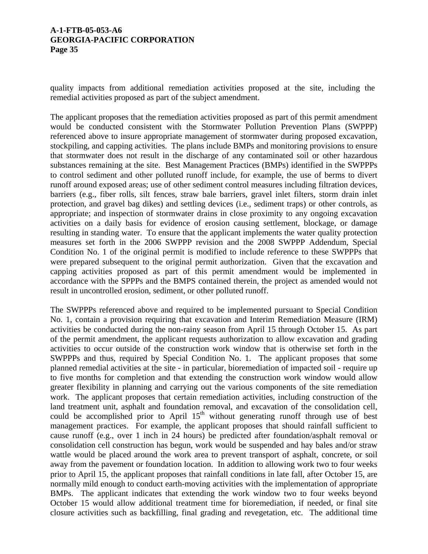quality impacts from additional remediation activities proposed at the site, including the remedial activities proposed as part of the subject amendment.

The applicant proposes that the remediation activities proposed as part of this permit amendment would be conducted consistent with the Stormwater Pollution Prevention Plans (SWPPP) referenced above to insure appropriate management of stormwater during proposed excavation, stockpiling, and capping activities. The plans include BMPs and monitoring provisions to ensure that stormwater does not result in the discharge of any contaminated soil or other hazardous substances remaining at the site. Best Management Practices (BMPs) identified in the SWPPPs to control sediment and other polluted runoff include, for example, the use of berms to divert runoff around exposed areas; use of other sediment control measures including filtration devices, barriers (e.g., fiber rolls, silt fences, straw bale barriers, gravel inlet filters, storm drain inlet protection, and gravel bag dikes) and settling devices (i.e., sediment traps) or other controls, as appropriate; and inspection of stormwater drains in close proximity to any ongoing excavation activities on a daily basis for evidence of erosion causing settlement, blockage, or damage resulting in standing water. To ensure that the applicant implements the water quality protection measures set forth in the 2006 SWPPP revision and the 2008 SWPPP Addendum, Special Condition No. 1 of the original permit is modified to include reference to these SWPPPs that were prepared subsequent to the original permit authorization. Given that the excavation and capping activities proposed as part of this permit amendment would be implemented in accordance with the SPPPs and the BMPS contained therein, the project as amended would not result in uncontrolled erosion, sediment, or other polluted runoff.

The SWPPPs referenced above and required to be implemented pursuant to Special Condition No. 1, contain a provision requiring that excavation and Interim Remediation Measure (IRM) activities be conducted during the non-rainy season from April 15 through October 15. As part of the permit amendment, the applicant requests authorization to allow excavation and grading activities to occur outside of the construction work window that is otherwise set forth in the SWPPPs and thus, required by Special Condition No. 1. The applicant proposes that some planned remedial activities at the site - in particular, bioremediation of impacted soil - require up to five months for completion and that extending the construction work window would allow greater flexibility in planning and carrying out the various components of the site remediation work. The applicant proposes that certain remediation activities, including construction of the land treatment unit, asphalt and foundation removal, and excavation of the consolidation cell, could be accomplished prior to April 15<sup>th</sup> without generating runoff through use of best management practices. For example, the applicant proposes that should rainfall sufficient to cause runoff (e.g., over 1 inch in 24 hours) be predicted after foundation/asphalt removal or consolidation cell construction has begun, work would be suspended and hay bales and/or straw wattle would be placed around the work area to prevent transport of asphalt, concrete, or soil away from the pavement or foundation location. In addition to allowing work two to four weeks prior to April 15, the applicant proposes that rainfall conditions in late fall, after October 15, are normally mild enough to conduct earth-moving activities with the implementation of appropriate BMPs. The applicant indicates that extending the work window two to four weeks beyond October 15 would allow additional treatment time for bioremediation, if needed, or final site closure activities such as backfilling, final grading and revegetation, etc. The additional time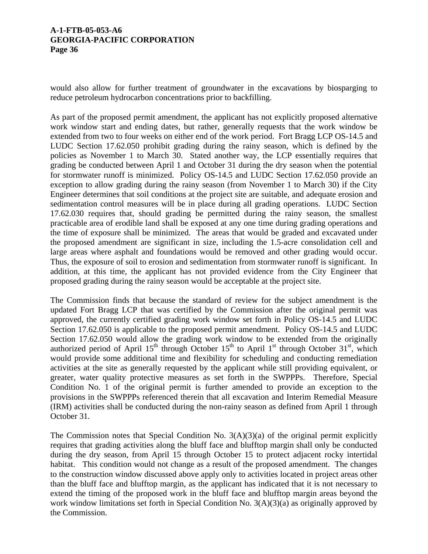would also allow for further treatment of groundwater in the excavations by biosparging to reduce petroleum hydrocarbon concentrations prior to backfilling.

As part of the proposed permit amendment, the applicant has not explicitly proposed alternative work window start and ending dates, but rather, generally requests that the work window be extended from two to four weeks on either end of the work period. Fort Bragg LCP OS-14.5 and LUDC Section 17.62.050 prohibit grading during the rainy season, which is defined by the policies as November 1 to March 30. Stated another way, the LCP essentially requires that grading be conducted between April 1 and October 31 during the dry season when the potential for stormwater runoff is minimized. Policy OS-14.5 and LUDC Section 17.62.050 provide an exception to allow grading during the rainy season (from November 1 to March 30) if the City Engineer determines that soil conditions at the project site are suitable, and adequate erosion and sedimentation control measures will be in place during all grading operations. LUDC Section 17.62.030 requires that, should grading be permitted during the rainy season, the smallest practicable area of erodible land shall be exposed at any one time during grading operations and the time of exposure shall be minimized. The areas that would be graded and excavated under the proposed amendment are significant in size, including the 1.5-acre consolidation cell and large areas where asphalt and foundations would be removed and other grading would occur. Thus, the exposure of soil to erosion and sedimentation from stormwater runoff is significant. In addition, at this time, the applicant has not provided evidence from the City Engineer that proposed grading during the rainy season would be acceptable at the project site.

The Commission finds that because the standard of review for the subject amendment is the updated Fort Bragg LCP that was certified by the Commission after the original permit was approved, the currently certified grading work window set forth in Policy OS-14.5 and LUDC Section 17.62.050 is applicable to the proposed permit amendment. Policy OS-14.5 and LUDC Section 17.62.050 would allow the grading work window to be extended from the originally authorized period of April  $15<sup>th</sup>$  through October  $15<sup>th</sup>$  to April  $1<sup>st</sup>$  through October  $31<sup>st</sup>$ , which would provide some additional time and flexibility for scheduling and conducting remediation activities at the site as generally requested by the applicant while still providing equivalent, or greater, water quality protective measures as set forth in the SWPPPs. Therefore, Special Condition No. 1 of the original permit is further amended to provide an exception to the provisions in the SWPPPs referenced therein that all excavation and Interim Remedial Measure (IRM) activities shall be conducted during the non-rainy season as defined from April 1 through October 31.

The Commission notes that Special Condition No. 3(A)(3)(a) of the original permit explicitly requires that grading activities along the bluff face and blufftop margin shall only be conducted during the dry season, from April 15 through October 15 to protect adjacent rocky intertidal habitat. This condition would not change as a result of the proposed amendment. The changes to the construction window discussed above apply only to activities located in project areas other than the bluff face and blufftop margin, as the applicant has indicated that it is not necessary to extend the timing of the proposed work in the bluff face and blufftop margin areas beyond the work window limitations set forth in Special Condition No. 3(A)(3)(a) as originally approved by the Commission.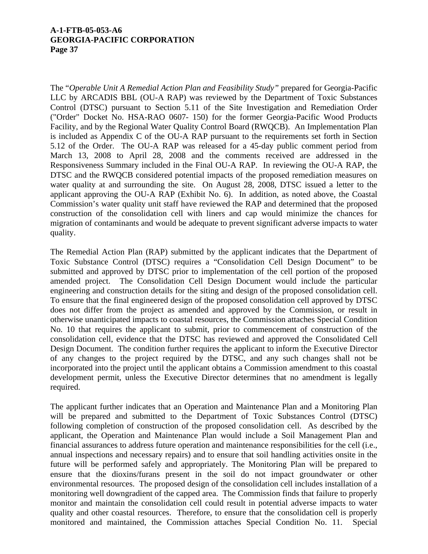The "*Operable Unit A Remedial Action Plan and Feasibility Study"* prepared for Georgia-Pacific LLC by ARCADIS BBL (OU-A RAP) was reviewed by the Department of Toxic Substances Control (DTSC) pursuant to Section 5.11 of the Site Investigation and Remediation Order ("Order" Docket No. HSA-RAO 0607- 150) for the former Georgia-Pacific Wood Products Facility, and by the Regional Water Quality Control Board (RWQCB). An Implementation Plan is included as Appendix C of the OU-A RAP pursuant to the requirements set forth in Section 5.12 of the Order. The OU-A RAP was released for a 45-day public comment period from March 13, 2008 to April 28, 2008 and the comments received are addressed in the Responsiveness Summary included in the Final OU-A RAP. In reviewing the OU-A RAP, the DTSC and the RWQCB considered potential impacts of the proposed remediation measures on water quality at and surrounding the site. On August 28, 2008, DTSC issued a letter to the applicant approving the OU-A RAP (Exhibit No. 6). In addition, as noted above, the Coastal Commission's water quality unit staff have reviewed the RAP and determined that the proposed construction of the consolidation cell with liners and cap would minimize the chances for migration of contaminants and would be adequate to prevent significant adverse impacts to water quality.

The Remedial Action Plan (RAP) submitted by the applicant indicates that the Department of Toxic Substance Control (DTSC) requires a "Consolidation Cell Design Document" to be submitted and approved by DTSC prior to implementation of the cell portion of the proposed amended project. The Consolidation Cell Design Document would include the particular engineering and construction details for the siting and design of the proposed consolidation cell. To ensure that the final engineered design of the proposed consolidation cell approved by DTSC does not differ from the project as amended and approved by the Commission, or result in otherwise unanticipated impacts to coastal resources, the Commission attaches Special Condition No. 10 that requires the applicant to submit, prior to commencement of construction of the consolidation cell, evidence that the DTSC has reviewed and approved the Consolidated Cell Design Document. The condition further requires the applicant to inform the Executive Director of any changes to the project required by the DTSC, and any such changes shall not be incorporated into the project until the applicant obtains a Commission amendment to this coastal development permit, unless the Executive Director determines that no amendment is legally required.

The applicant further indicates that an Operation and Maintenance Plan and a Monitoring Plan will be prepared and submitted to the Department of Toxic Substances Control (DTSC) following completion of construction of the proposed consolidation cell. As described by the applicant, the Operation and Maintenance Plan would include a Soil Management Plan and financial assurances to address future operation and maintenance responsibilities for the cell (i.e., annual inspections and necessary repairs) and to ensure that soil handling activities onsite in the future will be performed safely and appropriately. The Monitoring Plan will be prepared to ensure that the dioxins/furans present in the soil do not impact groundwater or other environmental resources. The proposed design of the consolidation cell includes installation of a monitoring well downgradient of the capped area. The Commission finds that failure to properly monitor and maintain the consolidation cell could result in potential adverse impacts to water quality and other coastal resources. Therefore, to ensure that the consolidation cell is properly monitored and maintained, the Commission attaches Special Condition No. 11. Special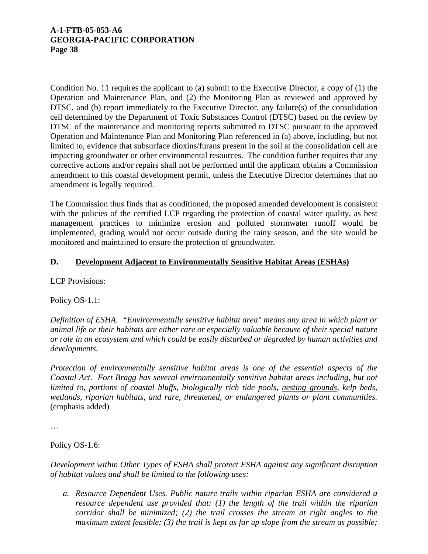Condition No. 11 requires the applicant to (a) submit to the Executive Director, a copy of (1) the Operation and Maintenance Plan, and (2) the Monitoring Plan as reviewed and approved by DTSC, and (b) report immediately to the Executive Director, any failure(s) of the consolidation cell determined by the Department of Toxic Substances Control (DTSC) based on the review by DTSC of the maintenance and monitoring reports submitted to DTSC pursuant to the approved Operation and Maintenance Plan and Monitoring Plan referenced in (a) above, including, but not limited to, evidence that subsurface dioxins/furans present in the soil at the consolidation cell are impacting groundwater or other environmental resources. The condition further requires that any corrective actions and/or repairs shall not be performed until the applicant obtains a Commission amendment to this coastal development permit, unless the Executive Director determines that no amendment is legally required.

The Commission thus finds that as conditioned, the proposed amended development is consistent with the policies of the certified LCP regarding the protection of coastal water quality, as best management practices to minimize erosion and polluted stormwater runoff would be implemented, grading would not occur outside during the rainy season, and the site would be monitored and maintained to ensure the protection of groundwater.

# **D. Development Adjacent to Environmentally Sensitive Habitat Areas (ESHAs)**

## LCP Provisions:

Policy OS-1.1:

*Definition of ESHA. "Environmentally sensitive habitat area" means any area in which plant or animal life or their habitats are either rare or especially valuable because of their special nature or role in an ecosystem and which could be easily disturbed or degraded by human activities and developments.* 

*Protection of environmentally sensitive habitat areas is one of the essential aspects of the Coastal Act. Fort Bragg has several environmentally sensitive habitat areas including, but not limited to, portions of coastal bluffs, biologically rich tide pools, nesting grounds, kelp beds, wetlands, riparian habitats, and rare, threatened, or endangered plants or plant communities.*  (emphasis added)

…

#### Policy OS-1.6:

*Development within Other Types of ESHA shall protect ESHA against any significant disruption of habitat values and shall be limited to the following uses:* 

*a. Resource Dependent Uses. Public nature trails within riparian ESHA are considered a resource dependent use provided that: (1) the length of the trail within the riparian corridor shall be minimized; (2) the trail crosses the stream at right angles to the maximum extent feasible; (3) the trail is kept as far up slope from the stream as possible;*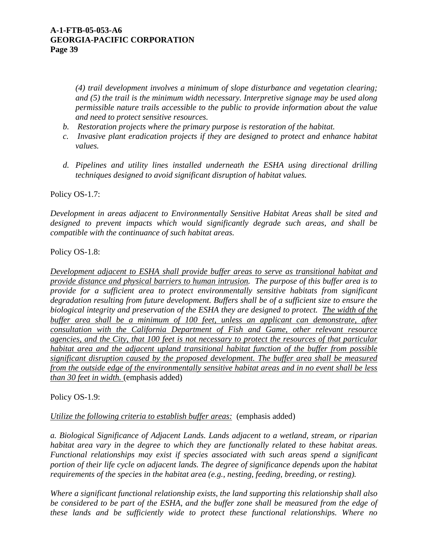*(4) trail development involves a minimum of slope disturbance and vegetation clearing; and (5) the trail is the minimum width necessary. Interpretive signage may be used along permissible nature trails accessible to the public to provide information about the value and need to protect sensitive resources.* 

- *b. Restoration projects where the primary purpose is restoration of the habitat.*
- *c. Invasive plant eradication projects if they are designed to protect and enhance habitat values.*
- *d. Pipelines and utility lines installed underneath the ESHA using directional drilling techniques designed to avoid significant disruption of habitat values.*

Policy OS-1.7:

*Development in areas adjacent to Environmentally Sensitive Habitat Areas shall be sited and designed to prevent impacts which would significantly degrade such areas, and shall be compatible with the continuance of such habitat areas.* 

Policy OS-1.8:

*Development adjacent to ESHA shall provide buffer areas to serve as transitional habitat and provide distance and physical barriers to human intrusion. The purpose of this buffer area is to provide for a sufficient area to protect environmentally sensitive habitats from significant degradation resulting from future development. Buffers shall be of a sufficient size to ensure the biological integrity and preservation of the ESHA they are designed to protect. The width of the buffer area shall be a minimum of 100 feet, unless an applicant can demonstrate, after consultation with the California Department of Fish and Game, other relevant resource agencies, and the City, that 100 feet is not necessary to protect the resources of that particular habitat area and the adjacent upland transitional habitat function of the buffer from possible significant disruption caused by the proposed development. The buffer area shall be measured from the outside edge of the environmentally sensitive habitat areas and in no event shall be less than 30 feet in width.* (emphasis added)

Policy OS-1.9:

*Utilize the following criteria to establish buffer areas:* (emphasis added)

*a. Biological Significance of Adjacent Lands. Lands adjacent to a wetland, stream, or riparian habitat area vary in the degree to which they are functionally related to these habitat areas. Functional relationships may exist if species associated with such areas spend a significant portion of their life cycle on adjacent lands. The degree of significance depends upon the habitat requirements of the species in the habitat area (e.g., nesting, feeding, breeding, or resting).* 

*Where a significant functional relationship exists, the land supporting this relationship shall also be considered to be part of the ESHA, and the buffer zone shall be measured from the edge of these lands and be sufficiently wide to protect these functional relationships. Where no*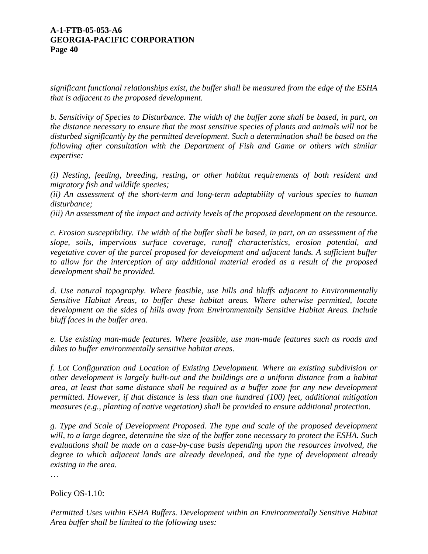*significant functional relationships exist, the buffer shall be measured from the edge of the ESHA that is adjacent to the proposed development.* 

*b. Sensitivity of Species to Disturbance. The width of the buffer zone shall be based, in part, on the distance necessary to ensure that the most sensitive species of plants and animals will not be disturbed significantly by the permitted development. Such a determination shall be based on the following after consultation with the Department of Fish and Game or others with similar expertise:* 

*(i) Nesting, feeding, breeding, resting, or other habitat requirements of both resident and migratory fish and wildlife species;* 

*(ii) An assessment of the short-term and long-term adaptability of various species to human disturbance;* 

*(iii) An assessment of the impact and activity levels of the proposed development on the resource.* 

*c. Erosion susceptibility. The width of the buffer shall be based, in part, on an assessment of the slope, soils, impervious surface coverage, runoff characteristics, erosion potential, and vegetative cover of the parcel proposed for development and adjacent lands. A sufficient buffer to allow for the interception of any additional material eroded as a result of the proposed development shall be provided.* 

*d. Use natural topography. Where feasible, use hills and bluffs adjacent to Environmentally Sensitive Habitat Areas, to buffer these habitat areas. Where otherwise permitted, locate development on the sides of hills away from Environmentally Sensitive Habitat Areas. Include bluff faces in the buffer area.* 

*e. Use existing man-made features. Where feasible, use man-made features such as roads and dikes to buffer environmentally sensitive habitat areas.* 

*f. Lot Configuration and Location of Existing Development. Where an existing subdivision or other development is largely built-out and the buildings are a uniform distance from a habitat area, at least that same distance shall be required as a buffer zone for any new development permitted. However, if that distance is less than one hundred (100) feet, additional mitigation measures (e.g., planting of native vegetation) shall be provided to ensure additional protection.* 

*g. Type and Scale of Development Proposed. The type and scale of the proposed development will, to a large degree, determine the size of the buffer zone necessary to protect the ESHA. Such evaluations shall be made on a case-by-case basis depending upon the resources involved, the degree to which adjacent lands are already developed, and the type of development already existing in the area.* 

…

Policy OS-1.10:

*Permitted Uses within ESHA Buffers. Development within an Environmentally Sensitive Habitat Area buffer shall be limited to the following uses:*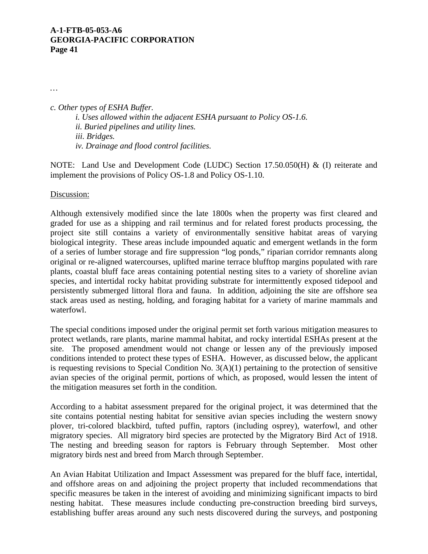*…* 

*c. Other types of ESHA Buffer. i. Uses allowed within the adjacent ESHA pursuant to Policy OS-1.6. ii. Buried pipelines and utility lines. iii. Bridges. iv. Drainage and flood control facilities.* 

NOTE: Land Use and Development Code (LUDC) Section 17.50.050(H) & (I) reiterate and implement the provisions of Policy OS-1.8 and Policy OS-1.10.

#### Discussion:

Although extensively modified since the late 1800s when the property was first cleared and graded for use as a shipping and rail terminus and for related forest products processing, the project site still contains a variety of environmentally sensitive habitat areas of varying biological integrity. These areas include impounded aquatic and emergent wetlands in the form of a series of lumber storage and fire suppression "log ponds," riparian corridor remnants along original or re-aligned watercourses, uplifted marine terrace blufftop margins populated with rare plants, coastal bluff face areas containing potential nesting sites to a variety of shoreline avian species, and intertidal rocky habitat providing substrate for intermittently exposed tidepool and persistently submerged littoral flora and fauna. In addition, adjoining the site are offshore sea stack areas used as nesting, holding, and foraging habitat for a variety of marine mammals and waterfowl.

The special conditions imposed under the original permit set forth various mitigation measures to protect wetlands, rare plants, marine mammal habitat, and rocky intertidal ESHAs present at the site. The proposed amendment would not change or lessen any of the previously imposed conditions intended to protect these types of ESHA. However, as discussed below, the applicant is requesting revisions to Special Condition No.  $3(A)(1)$  pertaining to the protection of sensitive avian species of the original permit, portions of which, as proposed, would lessen the intent of the mitigation measures set forth in the condition.

According to a habitat assessment prepared for the original project, it was determined that the site contains potential nesting habitat for sensitive avian species including the western snowy plover, tri-colored blackbird, tufted puffin, raptors (including osprey), waterfowl, and other migratory species. All migratory bird species are protected by the Migratory Bird Act of 1918. The nesting and breeding season for raptors is February through September. Most other migratory birds nest and breed from March through September.

An Avian Habitat Utilization and Impact Assessment was prepared for the bluff face, intertidal, and offshore areas on and adjoining the project property that included recommendations that specific measures be taken in the interest of avoiding and minimizing significant impacts to bird nesting habitat. These measures include conducting pre-construction breeding bird surveys, establishing buffer areas around any such nests discovered during the surveys, and postponing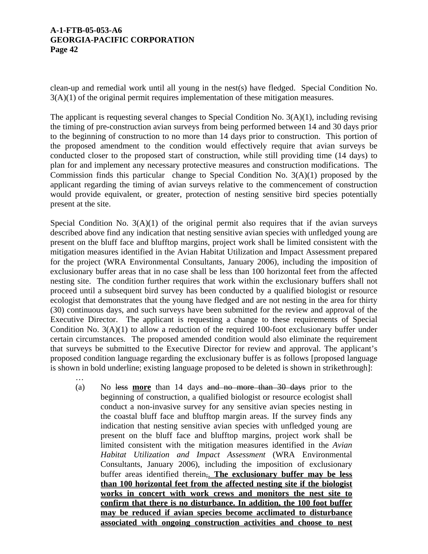…

clean-up and remedial work until all young in the nest(s) have fledged. Special Condition No. 3(A)(1) of the original permit requires implementation of these mitigation measures.

The applicant is requesting several changes to Special Condition No. 3(A)(1), including revising the timing of pre-construction avian surveys from being performed between 14 and 30 days prior to the beginning of construction to no more than 14 days prior to construction. This portion of the proposed amendment to the condition would effectively require that avian surveys be conducted closer to the proposed start of construction, while still providing time (14 days) to plan for and implement any necessary protective measures and construction modifications. The Commission finds this particular change to Special Condition No. 3(A)(1) proposed by the applicant regarding the timing of avian surveys relative to the commencement of construction would provide equivalent, or greater, protection of nesting sensitive bird species potentially present at the site.

Special Condition No.  $3(A)(1)$  of the original permit also requires that if the avian surveys described above find any indication that nesting sensitive avian species with unfledged young are present on the bluff face and blufftop margins, project work shall be limited consistent with the mitigation measures identified in the Avian Habitat Utilization and Impact Assessment prepared for the project (WRA Environmental Consultants, January 2006), including the imposition of exclusionary buffer areas that in no case shall be less than 100 horizontal feet from the affected nesting site. The condition further requires that work within the exclusionary buffers shall not proceed until a subsequent bird survey has been conducted by a qualified biologist or resource ecologist that demonstrates that the young have fledged and are not nesting in the area for thirty (30) continuous days, and such surveys have been submitted for the review and approval of the Executive Director. The applicant is requesting a change to these requirements of Special Condition No. 3(A)(1) to allow a reduction of the required 100-foot exclusionary buffer under certain circumstances. The proposed amended condition would also eliminate the requirement that surveys be submitted to the Executive Director for review and approval. The applicant's proposed condition language regarding the exclusionary buffer is as follows [proposed language is shown in bold underline; existing language proposed to be deleted is shown in strikethrough]:

(a) No less **more** than 14 days and no more than 30 days prior to the beginning of construction, a qualified biologist or resource ecologist shall conduct a non-invasive survey for any sensitive avian species nesting in the coastal bluff face and blufftop margin areas. If the survey finds any indication that nesting sensitive avian species with unfledged young are present on the bluff face and blufftop margins, project work shall be limited consistent with the mitigation measures identified in the *Avian Habitat Utilization and Impact Assessment* (WRA Environmental Consultants, January 2006), including the imposition of exclusionary buffer areas identified therein,. **The exclusionary buffer may be less than 100 horizontal feet from the affected nesting site if the biologist works in concert with work crews and monitors the nest site to confirm that there is no disturbance. In addition, the 100 foot buffer may be reduced if avian species become acclimated to disturbance associated with ongoing construction activities and choose to nest**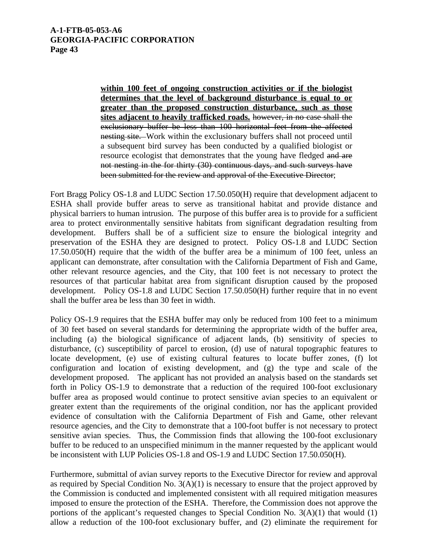**within 100 feet of ongoing construction activities or if the biologist determines that the level of background disturbance is equal to or greater than the proposed construction disturbance, such as those sites adjacent to heavily trafficked roads.** however, in no case shall the exclusionary buffer be less than 100 horizontal feet from the affected nesting site. Work within the exclusionary buffers shall not proceed until a subsequent bird survey has been conducted by a qualified biologist or resource ecologist that demonstrates that the young have fledged and are not nesting in the for thirty (30) continuous days, and such surveys have been submitted for the review and approval of the Executive Director;

Fort Bragg Policy OS-1.8 and LUDC Section 17.50.050(H) require that development adjacent to ESHA shall provide buffer areas to serve as transitional habitat and provide distance and physical barriers to human intrusion. The purpose of this buffer area is to provide for a sufficient area to protect environmentally sensitive habitats from significant degradation resulting from development. Buffers shall be of a sufficient size to ensure the biological integrity and preservation of the ESHA they are designed to protect. Policy OS-1.8 and LUDC Section 17.50.050(H) require that the width of the buffer area be a minimum of 100 feet, unless an applicant can demonstrate, after consultation with the California Department of Fish and Game, other relevant resource agencies, and the City, that 100 feet is not necessary to protect the resources of that particular habitat area from significant disruption caused by the proposed development. Policy OS-1.8 and LUDC Section 17.50.050(H) further require that in no event shall the buffer area be less than 30 feet in width.

Policy OS-1.9 requires that the ESHA buffer may only be reduced from 100 feet to a minimum of 30 feet based on several standards for determining the appropriate width of the buffer area, including (a) the biological significance of adjacent lands, (b) sensitivity of species to disturbance, (c) susceptibility of parcel to erosion, (d) use of natural topographic features to locate development, (e) use of existing cultural features to locate buffer zones, (f) lot configuration and location of existing development, and (g) the type and scale of the development proposed. The applicant has not provided an analysis based on the standards set forth in Policy OS-1.9 to demonstrate that a reduction of the required 100-foot exclusionary buffer area as proposed would continue to protect sensitive avian species to an equivalent or greater extent than the requirements of the original condition, nor has the applicant provided evidence of consultation with the California Department of Fish and Game, other relevant resource agencies, and the City to demonstrate that a 100-foot buffer is not necessary to protect sensitive avian species. Thus, the Commission finds that allowing the 100-foot exclusionary buffer to be reduced to an unspecified minimum in the manner requested by the applicant would be inconsistent with LUP Policies OS-1.8 and OS-1.9 and LUDC Section 17.50.050(H).

Furthermore, submittal of avian survey reports to the Executive Director for review and approval as required by Special Condition No.  $3(A)(1)$  is necessary to ensure that the project approved by the Commission is conducted and implemented consistent with all required mitigation measures imposed to ensure the protection of the ESHA. Therefore, the Commission does not approve the portions of the applicant's requested changes to Special Condition No.  $3(A)(1)$  that would (1) allow a reduction of the 100-foot exclusionary buffer, and (2) eliminate the requirement for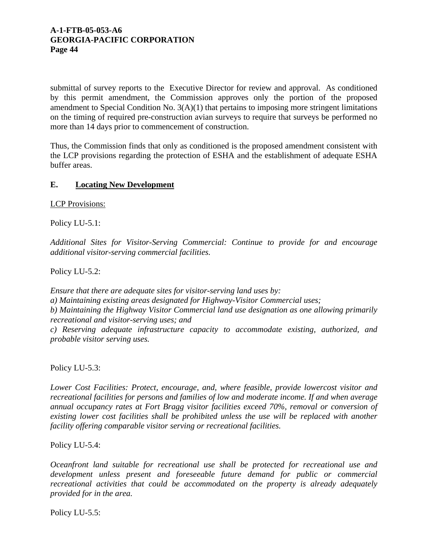submittal of survey reports to the Executive Director for review and approval. As conditioned by this permit amendment, the Commission approves only the portion of the proposed amendment to Special Condition No. 3(A)(1) that pertains to imposing more stringent limitations on the timing of required pre-construction avian surveys to require that surveys be performed no more than 14 days prior to commencement of construction.

Thus, the Commission finds that only as conditioned is the proposed amendment consistent with the LCP provisions regarding the protection of ESHA and the establishment of adequate ESHA buffer areas.

# **E. Locating New Development**

LCP Provisions:

Policy LU-5.1:

*Additional Sites for Visitor-Serving Commercial: Continue to provide for and encourage additional visitor-serving commercial facilities.* 

Policy LU-5.2:

*Ensure that there are adequate sites for visitor-serving land uses by:* 

*a) Maintaining existing areas designated for Highway-Visitor Commercial uses;* 

*b) Maintaining the Highway Visitor Commercial land use designation as one allowing primarily recreational and visitor-serving uses; and* 

*c) Reserving adequate infrastructure capacity to accommodate existing, authorized, and probable visitor serving uses.* 

Policy LU-5.3:

*Lower Cost Facilities: Protect, encourage, and, where feasible, provide lowercost visitor and recreational facilities for persons and families of low and moderate income. If and when average annual occupancy rates at Fort Bragg visitor facilities exceed 70%, removal or conversion of existing lower cost facilities shall be prohibited unless the use will be replaced with another facility offering comparable visitor serving or recreational facilities.* 

Policy LU-5.4:

*Oceanfront land suitable for recreational use shall be protected for recreational use and development unless present and foreseeable future demand for public or commercial recreational activities that could be accommodated on the property is already adequately provided for in the area.* 

Policy LU-5.5: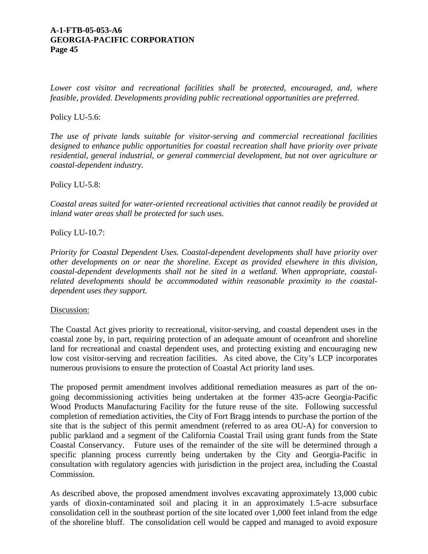Lower cost visitor and recreational facilities shall be protected, encouraged, and, where *feasible, provided. Developments providing public recreational opportunities are preferred.* 

## Policy LU-5.6:

*The use of private lands suitable for visitor-serving and commercial recreational facilities designed to enhance public opportunities for coastal recreation shall have priority over private residential, general industrial, or general commercial development, but not over agriculture or coastal-dependent industry.* 

Policy LU-5.8:

*Coastal areas suited for water-oriented recreational activities that cannot readily be provided at inland water areas shall be protected for such uses.* 

Policy LU-10.7:

*Priority for Coastal Dependent Uses. Coastal-dependent developments shall have priority over other developments on or near the shoreline. Except as provided elsewhere in this division, coastal-dependent developments shall not be sited in a wetland. When appropriate, coastalrelated developments should be accommodated within reasonable proximity to the coastaldependent uses they support.* 

Discussion:

The Coastal Act gives priority to recreational, visitor-serving, and coastal dependent uses in the coastal zone by, in part, requiring protection of an adequate amount of oceanfront and shoreline land for recreational and coastal dependent uses, and protecting existing and encouraging new low cost visitor-serving and recreation facilities. As cited above, the City's LCP incorporates numerous provisions to ensure the protection of Coastal Act priority land uses.

The proposed permit amendment involves additional remediation measures as part of the ongoing decommissioning activities being undertaken at the former 435-acre Georgia-Pacific Wood Products Manufacturing Facility for the future reuse of the site. Following successful completion of remediation activities, the City of Fort Bragg intends to purchase the portion of the site that is the subject of this permit amendment (referred to as area OU-A) for conversion to public parkland and a segment of the California Coastal Trail using grant funds from the State Coastal Conservancy. Future uses of the remainder of the site will be determined through a specific planning process currently being undertaken by the City and Georgia-Pacific in consultation with regulatory agencies with jurisdiction in the project area, including the Coastal Commission.

As described above, the proposed amendment involves excavating approximately 13,000 cubic yards of dioxin-contaminated soil and placing it in an approximately 1.5-acre subsurface consolidation cell in the southeast portion of the site located over 1,000 feet inland from the edge of the shoreline bluff. The consolidation cell would be capped and managed to avoid exposure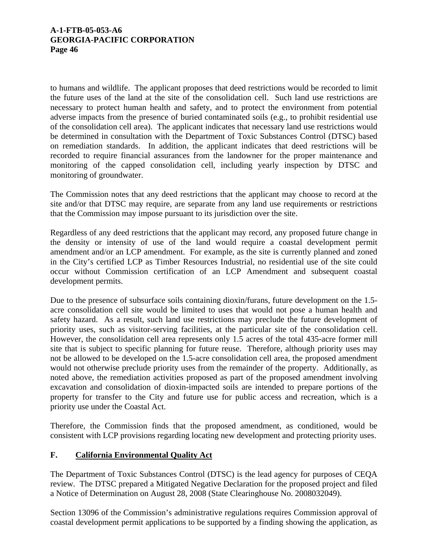to humans and wildlife. The applicant proposes that deed restrictions would be recorded to limit the future uses of the land at the site of the consolidation cell. Such land use restrictions are necessary to protect human health and safety, and to protect the environment from potential adverse impacts from the presence of buried contaminated soils (e.g., to prohibit residential use of the consolidation cell area). The applicant indicates that necessary land use restrictions would be determined in consultation with the Department of Toxic Substances Control (DTSC) based on remediation standards. In addition, the applicant indicates that deed restrictions will be recorded to require financial assurances from the landowner for the proper maintenance and monitoring of the capped consolidation cell, including yearly inspection by DTSC and monitoring of groundwater.

The Commission notes that any deed restrictions that the applicant may choose to record at the site and/or that DTSC may require, are separate from any land use requirements or restrictions that the Commission may impose pursuant to its jurisdiction over the site.

Regardless of any deed restrictions that the applicant may record, any proposed future change in the density or intensity of use of the land would require a coastal development permit amendment and/or an LCP amendment. For example, as the site is currently planned and zoned in the City's certified LCP as Timber Resources Industrial, no residential use of the site could occur without Commission certification of an LCP Amendment and subsequent coastal development permits.

Due to the presence of subsurface soils containing dioxin/furans, future development on the 1.5 acre consolidation cell site would be limited to uses that would not pose a human health and safety hazard. As a result, such land use restrictions may preclude the future development of priority uses, such as visitor-serving facilities, at the particular site of the consolidation cell. However, the consolidation cell area represents only 1.5 acres of the total 435-acre former mill site that is subject to specific planning for future reuse. Therefore, although priority uses may not be allowed to be developed on the 1.5-acre consolidation cell area, the proposed amendment would not otherwise preclude priority uses from the remainder of the property. Additionally, as noted above, the remediation activities proposed as part of the proposed amendment involving excavation and consolidation of dioxin-impacted soils are intended to prepare portions of the property for transfer to the City and future use for public access and recreation, which is a priority use under the Coastal Act.

Therefore, the Commission finds that the proposed amendment, as conditioned, would be consistent with LCP provisions regarding locating new development and protecting priority uses.

# **F. California Environmental Quality Act**

The Department of Toxic Substances Control (DTSC) is the lead agency for purposes of CEQA review. The DTSC prepared a Mitigated Negative Declaration for the proposed project and filed a Notice of Determination on August 28, 2008 (State Clearinghouse No. 2008032049).

Section 13096 of the Commission's administrative regulations requires Commission approval of coastal development permit applications to be supported by a finding showing the application, as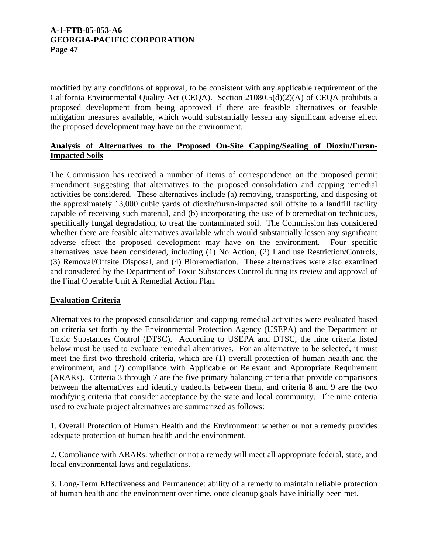modified by any conditions of approval, to be consistent with any applicable requirement of the California Environmental Quality Act (CEQA). Section 21080.5(d)(2)(A) of CEQA prohibits a proposed development from being approved if there are feasible alternatives or feasible mitigation measures available, which would substantially lessen any significant adverse effect the proposed development may have on the environment.

# **Analysis of Alternatives to the Proposed On-Site Capping/Sealing of Dioxin/Furan-Impacted Soils**

The Commission has received a number of items of correspondence on the proposed permit amendment suggesting that alternatives to the proposed consolidation and capping remedial activities be considered. These alternatives include (a) removing, transporting, and disposing of the approximately 13,000 cubic yards of dioxin/furan-impacted soil offsite to a landfill facility capable of receiving such material, and (b) incorporating the use of bioremediation techniques, specifically fungal degradation, to treat the contaminated soil. The Commission has considered whether there are feasible alternatives available which would substantially lessen any significant adverse effect the proposed development may have on the environment. Four specific alternatives have been considered, including (1) No Action, (2) Land use Restriction/Controls, (3) Removal/Offsite Disposal, and (4) Bioremediation. These alternatives were also examined and considered by the Department of Toxic Substances Control during its review and approval of the Final Operable Unit A Remedial Action Plan.

# **Evaluation Criteria**

Alternatives to the proposed consolidation and capping remedial activities were evaluated based on criteria set forth by the Environmental Protection Agency (USEPA) and the Department of Toxic Substances Control (DTSC). According to USEPA and DTSC, the nine criteria listed below must be used to evaluate remedial alternatives. For an alternative to be selected, it must meet the first two threshold criteria, which are (1) overall protection of human health and the environment, and (2) compliance with Applicable or Relevant and Appropriate Requirement (ARARs). Criteria 3 through 7 are the five primary balancing criteria that provide comparisons between the alternatives and identify tradeoffs between them, and criteria 8 and 9 are the two modifying criteria that consider acceptance by the state and local community. The nine criteria used to evaluate project alternatives are summarized as follows:

1. Overall Protection of Human Health and the Environment: whether or not a remedy provides adequate protection of human health and the environment.

2. Compliance with ARARs: whether or not a remedy will meet all appropriate federal, state, and local environmental laws and regulations.

3. Long-Term Effectiveness and Permanence: ability of a remedy to maintain reliable protection of human health and the environment over time, once cleanup goals have initially been met.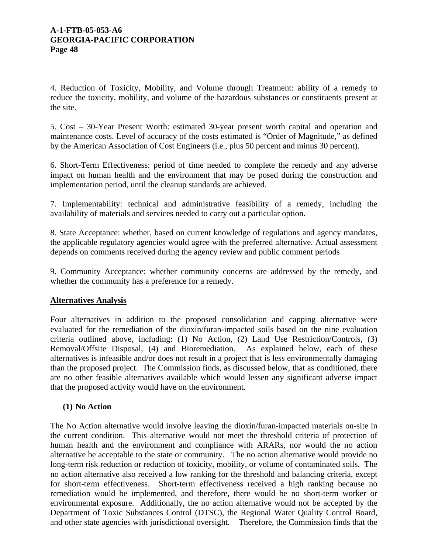4. Reduction of Toxicity, Mobility, and Volume through Treatment: ability of a remedy to reduce the toxicity, mobility, and volume of the hazardous substances or constituents present at the site.

5. Cost – 30-Year Present Worth: estimated 30-year present worth capital and operation and maintenance costs. Level of accuracy of the costs estimated is "Order of Magnitude," as defined by the American Association of Cost Engineers (i.e., plus 50 percent and minus 30 percent).

6. Short-Term Effectiveness: period of time needed to complete the remedy and any adverse impact on human health and the environment that may be posed during the construction and implementation period, until the cleanup standards are achieved.

7. Implementability: technical and administrative feasibility of a remedy, including the availability of materials and services needed to carry out a particular option.

8. State Acceptance: whether, based on current knowledge of regulations and agency mandates, the applicable regulatory agencies would agree with the preferred alternative. Actual assessment depends on comments received during the agency review and public comment periods

9. Community Acceptance: whether community concerns are addressed by the remedy, and whether the community has a preference for a remedy.

## **Alternatives Analysis**

Four alternatives in addition to the proposed consolidation and capping alternative were evaluated for the remediation of the dioxin/furan-impacted soils based on the nine evaluation criteria outlined above, including: (1) No Action, (2) Land Use Restriction/Controls, (3) Removal/Offsite Disposal, (4) and Bioremediation. As explained below, each of these alternatives is infeasible and/or does not result in a project that is less environmentally damaging than the proposed project. The Commission finds, as discussed below, that as conditioned, there are no other feasible alternatives available which would lessen any significant adverse impact that the proposed activity would have on the environment.

## **(1) No Action**

The No Action alternative would involve leaving the dioxin/furan-impacted materials on-site in the current condition. This alternative would not meet the threshold criteria of protection of human health and the environment and compliance with ARARs, nor would the no action alternative be acceptable to the state or community. The no action alternative would provide no long-term risk reduction or reduction of toxicity, mobility, or volume of contaminated soils. The no action alternative also received a low ranking for the threshold and balancing criteria, except for short-term effectiveness. Short-term effectiveness received a high ranking because no remediation would be implemented, and therefore, there would be no short-term worker or environmental exposure. Additionally, the no action alternative would not be accepted by the Department of Toxic Substances Control (DTSC), the Regional Water Quality Control Board, and other state agencies with jurisdictional oversight. Therefore, the Commission finds that the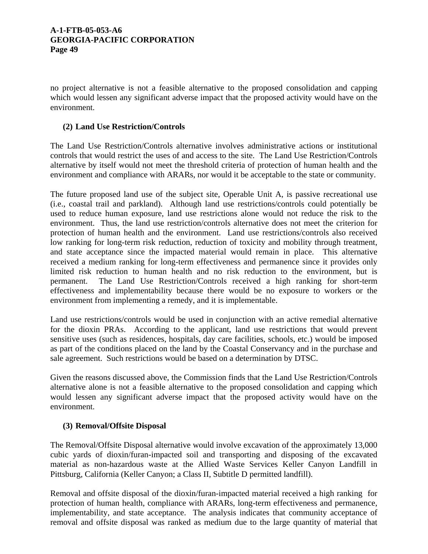no project alternative is not a feasible alternative to the proposed consolidation and capping which would lessen any significant adverse impact that the proposed activity would have on the environment.

# **(2) Land Use Restriction/Controls**

The Land Use Restriction/Controls alternative involves administrative actions or institutional controls that would restrict the uses of and access to the site. The Land Use Restriction/Controls alternative by itself would not meet the threshold criteria of protection of human health and the environment and compliance with ARARs, nor would it be acceptable to the state or community.

The future proposed land use of the subject site, Operable Unit A, is passive recreational use (i.e., coastal trail and parkland). Although land use restrictions/controls could potentially be used to reduce human exposure, land use restrictions alone would not reduce the risk to the environment. Thus, the land use restriction/controls alternative does not meet the criterion for protection of human health and the environment. Land use restrictions/controls also received low ranking for long-term risk reduction, reduction of toxicity and mobility through treatment, and state acceptance since the impacted material would remain in place. This alternative received a medium ranking for long-term effectiveness and permanence since it provides only limited risk reduction to human health and no risk reduction to the environment, but is permanent. The Land Use Restriction/Controls received a high ranking for short-term effectiveness and implementability because there would be no exposure to workers or the environment from implementing a remedy, and it is implementable.

Land use restrictions/controls would be used in conjunction with an active remedial alternative for the dioxin PRAs. According to the applicant, land use restrictions that would prevent sensitive uses (such as residences, hospitals, day care facilities, schools, etc.) would be imposed as part of the conditions placed on the land by the Coastal Conservancy and in the purchase and sale agreement. Such restrictions would be based on a determination by DTSC.

Given the reasons discussed above, the Commission finds that the Land Use Restriction/Controls alternative alone is not a feasible alternative to the proposed consolidation and capping which would lessen any significant adverse impact that the proposed activity would have on the environment.

# **(3) Removal/Offsite Disposal**

The Removal/Offsite Disposal alternative would involve excavation of the approximately 13,000 cubic yards of dioxin/furan-impacted soil and transporting and disposing of the excavated material as non-hazardous waste at the Allied Waste Services Keller Canyon Landfill in Pittsburg, California (Keller Canyon; a Class II, Subtitle D permitted landfill).

Removal and offsite disposal of the dioxin/furan-impacted material received a high ranking for protection of human health, compliance with ARARs, long-term effectiveness and permanence, implementability, and state acceptance. The analysis indicates that community acceptance of removal and offsite disposal was ranked as medium due to the large quantity of material that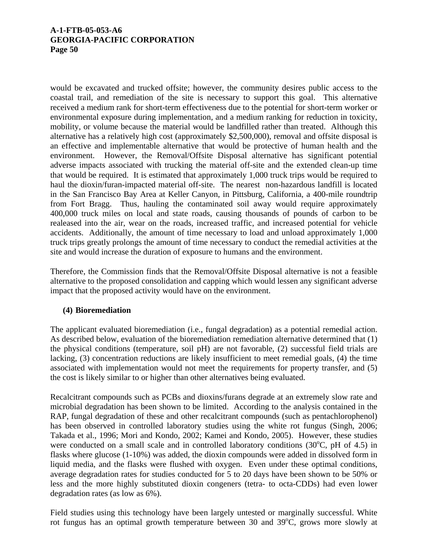would be excavated and trucked offsite; however, the community desires public access to the coastal trail, and remediation of the site is necessary to support this goal. This alternative received a medium rank for short-term effectiveness due to the potential for short-term worker or environmental exposure during implementation, and a medium ranking for reduction in toxicity, mobility, or volume because the material would be landfilled rather than treated. Although this alternative has a relatively high cost (approximately \$2,500,000), removal and offsite disposal is an effective and implementable alternative that would be protective of human health and the environment. However, the Removal/Offsite Disposal alternative has significant potential adverse impacts associated with trucking the material off-site and the extended clean-up time that would be required. It is estimated that approximately 1,000 truck trips would be required to haul the dioxin/furan-impacted material off-site. The nearest non-hazardous landfill is located in the San Francisco Bay Area at Keller Canyon, in Pittsburg, California, a 400-mile roundtrip from Fort Bragg. Thus, hauling the contaminated soil away would require approximately 400,000 truck miles on local and state roads, causing thousands of pounds of carbon to be realeased into the air, wear on the roads, increased traffic, and increased potential for vehicle accidents. Additionally, the amount of time necessary to load and unload approximately 1,000 truck trips greatly prolongs the amount of time necessary to conduct the remedial activities at the site and would increase the duration of exposure to humans and the environment.

Therefore, the Commission finds that the Removal/Offsite Disposal alternative is not a feasible alternative to the proposed consolidation and capping which would lessen any significant adverse impact that the proposed activity would have on the environment.

# **(4) Bioremediation**

The applicant evaluated bioremediation (i.e., fungal degradation) as a potential remedial action. As described below, evaluation of the bioremediation remediation alternative determined that (1) the physical conditions (temperature, soil pH) are not favorable, (2) successful field trials are lacking, (3) concentration reductions are likely insufficient to meet remedial goals, (4) the time associated with implementation would not meet the requirements for property transfer, and (5) the cost is likely similar to or higher than other alternatives being evaluated.

Recalcitrant compounds such as PCBs and dioxins/furans degrade at an extremely slow rate and microbial degradation has been shown to be limited. According to the analysis contained in the RAP, fungal degradation of these and other recalcitrant compounds (such as pentachlorophenol) has been observed in controlled laboratory studies using the white rot fungus (Singh, 2006; Takada et al., 1996; Mori and Kondo, 2002; Kamei and Kondo, 2005). However, these studies were conducted on a small scale and in controlled laboratory conditions  $(30^{\circ}C, pH)$  of 4.5) in flasks where glucose (1-10%) was added, the dioxin compounds were added in dissolved form in liquid media, and the flasks were flushed with oxygen. Even under these optimal conditions, average degradation rates for studies conducted for 5 to 20 days have been shown to be 50% or less and the more highly substituted dioxin congeners (tetra- to octa-CDDs) had even lower degradation rates (as low as 6%).

Field studies using this technology have been largely untested or marginally successful. White rot fungus has an optimal growth temperature between 30 and  $39^{\circ}$ C, grows more slowly at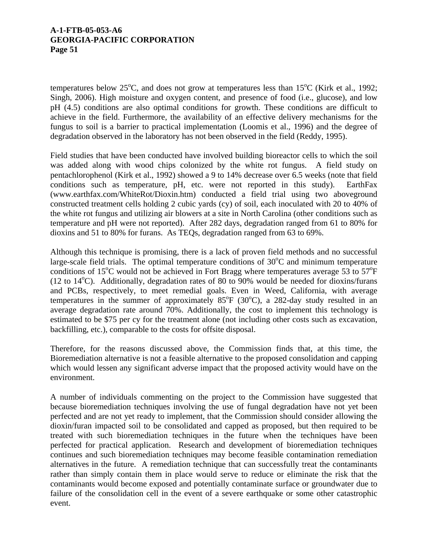temperatures below  $25^{\circ}$ C, and does not grow at temperatures less than  $15^{\circ}$ C (Kirk et al., 1992; Singh, 2006). High moisture and oxygen content, and presence of food (i.e., glucose), and low pH (4.5) conditions are also optimal conditions for growth. These conditions are difficult to achieve in the field. Furthermore, the availability of an effective delivery mechanisms for the fungus to soil is a barrier to practical implementation (Loomis et al., 1996) and the degree of degradation observed in the laboratory has not been observed in the field (Reddy, 1995).

Field studies that have been conducted have involved building bioreactor cells to which the soil was added along with wood chips colonized by the white rot fungus. A field study on pentachlorophenol (Kirk et al., 1992) showed a 9 to 14% decrease over 6.5 weeks (note that field conditions such as temperature, pH, etc. were not reported in this study). EarthFax (www.earthfax.com/WhiteRot/Dioxin.htm) conducted a field trial using two aboveground constructed treatment cells holding 2 cubic yards (cy) of soil, each inoculated with 20 to 40% of the white rot fungus and utilizing air blowers at a site in North Carolina (other conditions such as temperature and pH were not reported). After 282 days, degradation ranged from 61 to 80% for dioxins and 51 to 80% for furans. As TEQs, degradation ranged from 63 to 69%.

Although this technique is promising, there is a lack of proven field methods and no successful large-scale field trials. The optimal temperature conditions of  $30^{\circ}$ C and minimum temperature conditions of 15<sup>o</sup>C would not be achieved in Fort Bragg where temperatures average 53 to 57<sup>o</sup>F (12 to  $14^{\circ}$ C). Additionally, degradation rates of 80 to 90% would be needed for dioxins/furans and PCBs, respectively, to meet remedial goals. Even in Weed, California, with average temperatures in the summer of approximately  $85^{\circ}F$  (30 $^{\circ}C$ ), a 282-day study resulted in an average degradation rate around 70%. Additionally, the cost to implement this technology is estimated to be \$75 per cy for the treatment alone (not including other costs such as excavation, backfilling, etc.), comparable to the costs for offsite disposal.

Therefore, for the reasons discussed above, the Commission finds that, at this time, the Bioremediation alternative is not a feasible alternative to the proposed consolidation and capping which would lessen any significant adverse impact that the proposed activity would have on the environment.

A number of individuals commenting on the project to the Commission have suggested that because bioremediation techniques involving the use of fungal degradation have not yet been perfected and are not yet ready to implement, that the Commission should consider allowing the dioxin/furan impacted soil to be consolidated and capped as proposed, but then required to be treated with such bioremediation techniques in the future when the techniques have been perfected for practical application. Research and development of bioremediation techniques continues and such bioremediation techniques may become feasible contamination remediation alternatives in the future. A remediation technique that can successfully treat the contaminants rather than simply contain them in place would serve to reduce or eliminate the risk that the contaminants would become exposed and potentially contaminate surface or groundwater due to failure of the consolidation cell in the event of a severe earthquake or some other catastrophic event.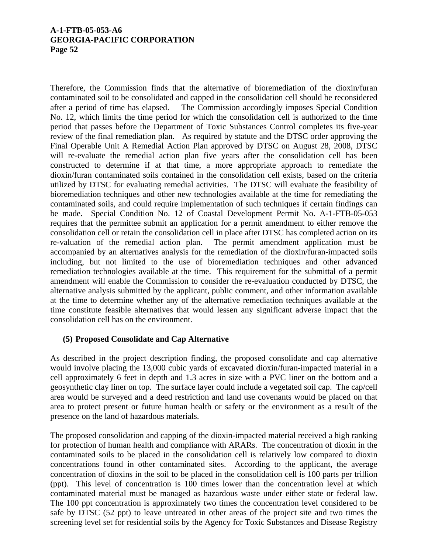Therefore, the Commission finds that the alternative of bioremediation of the dioxin/furan contaminated soil to be consolidated and capped in the consolidation cell should be reconsidered after a period of time has elapsed. The Commission accordingly imposes Special Condition No. 12, which limits the time period for which the consolidation cell is authorized to the time period that passes before the Department of Toxic Substances Control completes its five-year review of the final remediation plan. As required by statute and the DTSC order approving the Final Operable Unit A Remedial Action Plan approved by DTSC on August 28, 2008, DTSC will re-evaluate the remedial action plan five years after the consolidation cell has been constructed to determine if at that time, a more appropriate approach to remediate the dioxin/furan contaminated soils contained in the consolidation cell exists, based on the criteria utilized by DTSC for evaluating remedial activities. The DTSC will evaluate the feasibility of bioremediation techniques and other new technologies available at the time for remediating the contaminated soils, and could require implementation of such techniques if certain findings can be made. Special Condition No. 12 of Coastal Development Permit No. A-1-FTB-05-053 requires that the permittee submit an application for a permit amendment to either remove the consolidation cell or retain the consolidation cell in place after DTSC has completed action on its re-valuation of the remedial action plan. The permit amendment application must be accompanied by an alternatives analysis for the remediation of the dioxin/furan-impacted soils including, but not limited to the use of bioremediation techniques and other advanced remediation technologies available at the time. This requirement for the submittal of a permit amendment will enable the Commission to consider the re-evaluation conducted by DTSC, the alternative analysis submitted by the applicant, public comment, and other information available at the time to determine whether any of the alternative remediation techniques available at the time constitute feasible alternatives that would lessen any significant adverse impact that the consolidation cell has on the environment.

## **(5) Proposed Consolidate and Cap Alternative**

As described in the project description finding, the proposed consolidate and cap alternative would involve placing the 13,000 cubic yards of excavated dioxin/furan-impacted material in a cell approximately 6 feet in depth and 1.3 acres in size with a PVC liner on the bottom and a geosynthetic clay liner on top. The surface layer could include a vegetated soil cap. The cap/cell area would be surveyed and a deed restriction and land use covenants would be placed on that area to protect present or future human health or safety or the environment as a result of the presence on the land of hazardous materials.

The proposed consolidation and capping of the dioxin-impacted material received a high ranking for protection of human health and compliance with ARARs. The concentration of dioxin in the contaminated soils to be placed in the consolidation cell is relatively low compared to dioxin concentrations found in other contaminated sites. According to the applicant, the average concentration of dioxins in the soil to be placed in the consolidation cell is 100 parts per trillion (ppt). This level of concentration is 100 times lower than the concentration level at which contaminated material must be managed as hazardous waste under either state or federal law. The 100 ppt concentration is approximately two times the concentration level considered to be safe by DTSC (52 ppt) to leave untreated in other areas of the project site and two times the screening level set for residential soils by the Agency for Toxic Substances and Disease Registry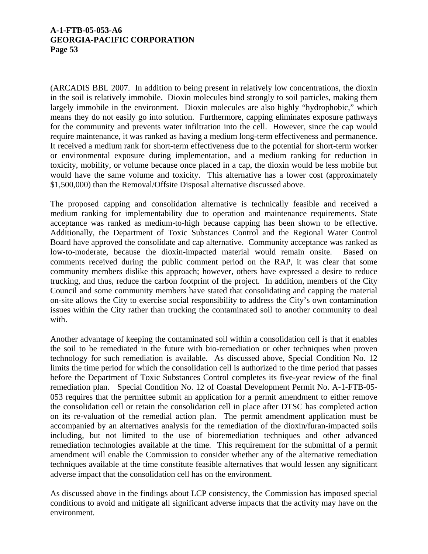(ARCADIS BBL 2007. In addition to being present in relatively low concentrations, the dioxin in the soil is relatively immobile. Dioxin molecules bind strongly to soil particles, making them largely immobile in the environment. Dioxin molecules are also highly "hydrophobic," which means they do not easily go into solution. Furthermore, capping eliminates exposure pathways for the community and prevents water infiltration into the cell. However, since the cap would require maintenance, it was ranked as having a medium long-term effectiveness and permanence. It received a medium rank for short-term effectiveness due to the potential for short-term worker or environmental exposure during implementation, and a medium ranking for reduction in toxicity, mobility, or volume because once placed in a cap, the dioxin would be less mobile but would have the same volume and toxicity. This alternative has a lower cost (approximately \$1,500,000) than the Removal/Offsite Disposal alternative discussed above.

The proposed capping and consolidation alternative is technically feasible and received a medium ranking for implementability due to operation and maintenance requirements. State acceptance was ranked as medium-to-high because capping has been shown to be effective. Additionally, the Department of Toxic Substances Control and the Regional Water Control Board have approved the consolidate and cap alternative. Community acceptance was ranked as low-to-moderate, because the dioxin-impacted material would remain onsite. Based on comments received during the public comment period on the RAP, it was clear that some community members dislike this approach; however, others have expressed a desire to reduce trucking, and thus, reduce the carbon footprint of the project. In addition, members of the City Council and some community members have stated that consolidating and capping the material on-site allows the City to exercise social responsibility to address the City's own contamination issues within the City rather than trucking the contaminated soil to another community to deal with.

Another advantage of keeping the contaminated soil within a consolidation cell is that it enables the soil to be remediated in the future with bio-remediation or other techniques when proven technology for such remediation is available. As discussed above, Special Condition No. 12 limits the time period for which the consolidation cell is authorized to the time period that passes before the Department of Toxic Substances Control completes its five-year review of the final remediation plan. Special Condition No. 12 of Coastal Development Permit No. A-1-FTB-05- 053 requires that the permittee submit an application for a permit amendment to either remove the consolidation cell or retain the consolidation cell in place after DTSC has completed action on its re-valuation of the remedial action plan. The permit amendment application must be accompanied by an alternatives analysis for the remediation of the dioxin/furan-impacted soils including, but not limited to the use of bioremediation techniques and other advanced remediation technologies available at the time. This requirement for the submittal of a permit amendment will enable the Commission to consider whether any of the alternative remediation techniques available at the time constitute feasible alternatives that would lessen any significant adverse impact that the consolidation cell has on the environment.

As discussed above in the findings about LCP consistency, the Commission has imposed special conditions to avoid and mitigate all significant adverse impacts that the activity may have on the environment.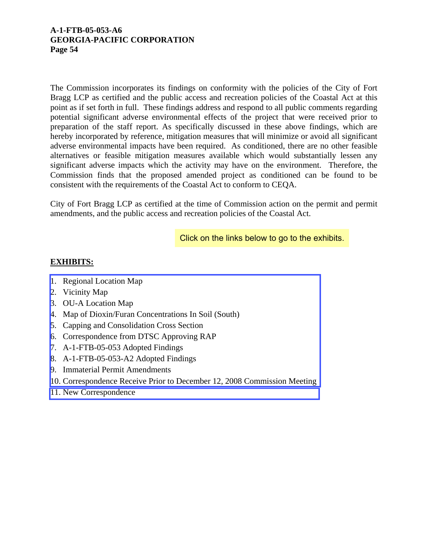The Commission incorporates its findings on conformity with the policies of the City of Fort Bragg LCP as certified and the public access and recreation policies of the Coastal Act at this point as if set forth in full. These findings address and respond to all public comments regarding potential significant adverse environmental effects of the project that were received prior to preparation of the staff report. As specifically discussed in these above findings, which are hereby incorporated by reference, mitigation measures that will minimize or avoid all significant adverse environmental impacts have been required. As conditioned, there are no other feasible alternatives or feasible mitigation measures available which would substantially lessen any significant adverse impacts which the activity may have on the environment. Therefore, the Commission finds that the proposed amended project as conditioned can be found to be consistent with the requirements of the Coastal Act to conform to CEQA.

City of Fort Bragg LCP as certified at the time of Commission action on the permit and permit amendments, and the public access and recreation policies of the Coastal Act.

Click on the links below to go to the exhibits.

# **EXHIBITS:**

- 1. Regional Location Map
- 2. Vicinity Map
- 3. OU-A Location Map
- 4. Map of Dioxin/Furan Concentrations In Soil (South)
- 5. Capping and Consolidation Cross Section
- 6. Correspondence from DTSC Approving RAP
- 7. A-1-FTB-05-053 Adopted Findings
- 8. A-1-FTB-05-053-A2 Adopted Findings
- 9. Immaterial Permit Amendments
- 10. [Correspondence Receive Prior to December 12, 2008 Commission Meeting](http://documents.coastal.ca.gov/reports/2009/2/W15b-2-2009-a1.pdf)
- 11. [New Correspondence](http://documents.coastal.ca.gov/reports/2009/2/W15b-2-2009-a2.pdf)